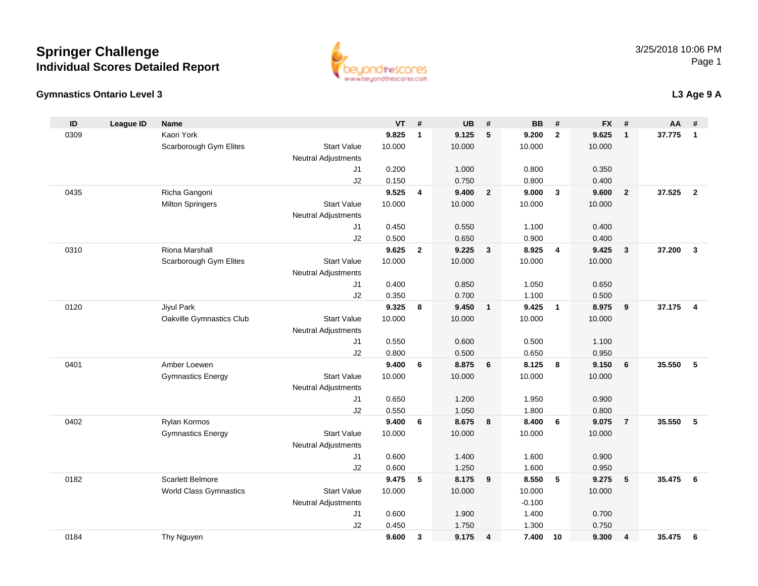#### **Gymnastics Ontario Level 3**

| ID   | League ID | <b>Name</b>              |                            | VT     | #              | UB     | #              | BB       | #                       | <b>FX</b> | #              | AA     | #                       |
|------|-----------|--------------------------|----------------------------|--------|----------------|--------|----------------|----------|-------------------------|-----------|----------------|--------|-------------------------|
| 0309 |           | Kaori York               |                            | 9.825  | $\mathbf{1}$   | 9.125  | 5              | 9.200    | $\overline{2}$          | 9.625     | $\mathbf{1}$   | 37.775 | $\mathbf{1}$            |
|      |           | Scarborough Gym Elites   | <b>Start Value</b>         | 10.000 |                | 10.000 |                | 10.000   |                         | 10.000    |                |        |                         |
|      |           |                          | <b>Neutral Adjustments</b> |        |                |        |                |          |                         |           |                |        |                         |
|      |           |                          | J1                         | 0.200  |                | 1.000  |                | 0.800    |                         | 0.350     |                |        |                         |
|      |           |                          | J2                         | 0.150  |                | 0.750  |                | 0.800    |                         | 0.400     |                |        |                         |
| 0435 |           | Richa Gangoni            |                            | 9.525  | 4              | 9.400  | $\overline{2}$ | 9.000    | $\overline{\mathbf{3}}$ | 9.600     | $\overline{2}$ | 37.525 | $\overline{2}$          |
|      |           | <b>Milton Springers</b>  | <b>Start Value</b>         | 10.000 |                | 10.000 |                | 10.000   |                         | 10.000    |                |        |                         |
|      |           |                          | <b>Neutral Adjustments</b> |        |                |        |                |          |                         |           |                |        |                         |
|      |           |                          | J1                         | 0.450  |                | 0.550  |                | 1.100    |                         | 0.400     |                |        |                         |
|      |           |                          | J2                         | 0.500  |                | 0.650  |                | 0.900    |                         | 0.400     |                |        |                         |
| 0310 |           | Riona Marshall           |                            | 9.625  | $\overline{2}$ | 9.225  | $\mathbf{3}$   | 8.925    | $\overline{4}$          | 9.425     | $\mathbf{3}$   | 37.200 | $\overline{\mathbf{3}}$ |
|      |           | Scarborough Gym Elites   | <b>Start Value</b>         | 10.000 |                | 10.000 |                | 10.000   |                         | 10.000    |                |        |                         |
|      |           |                          | <b>Neutral Adjustments</b> |        |                |        |                |          |                         |           |                |        |                         |
|      |           |                          | J1                         | 0.400  |                | 0.850  |                | 1.050    |                         | 0.650     |                |        |                         |
|      |           |                          | J2                         | 0.350  |                | 0.700  |                | 1.100    |                         | 0.500     |                |        |                         |
| 0120 |           | Jiyul Park               |                            | 9.325  | 8              | 9.450  | $\overline{1}$ | 9.425    | $\overline{1}$          | 8.975     | 9              | 37.175 | $\overline{4}$          |
|      |           | Oakville Gymnastics Club | <b>Start Value</b>         | 10.000 |                | 10.000 |                | 10.000   |                         | 10.000    |                |        |                         |
|      |           |                          | <b>Neutral Adjustments</b> |        |                |        |                |          |                         |           |                |        |                         |
|      |           |                          | J1                         | 0.550  |                | 0.600  |                | 0.500    |                         | 1.100     |                |        |                         |
|      |           |                          | J2                         | 0.800  |                | 0.500  |                | 0.650    |                         | 0.950     |                |        |                         |
| 0401 |           | Amber Loewen             |                            | 9.400  | 6              | 8.875  | 6              | 8.125    | 8                       | 9.150     | 6              | 35.550 | 5                       |
|      |           | <b>Gymnastics Energy</b> | <b>Start Value</b>         | 10.000 |                | 10.000 |                | 10.000   |                         | 10.000    |                |        |                         |
|      |           |                          | <b>Neutral Adjustments</b> |        |                |        |                |          |                         |           |                |        |                         |
|      |           |                          | J1                         | 0.650  |                | 1.200  |                | 1.950    |                         | 0.900     |                |        |                         |
|      |           |                          | J2                         | 0.550  |                | 1.050  |                | 1.800    |                         | 0.800     |                |        |                         |
| 0402 |           | Rylan Kormos             |                            | 9.400  | 6              | 8.675  | 8              | 8.400    | 6                       | 9.075     | $\overline{7}$ | 35.550 | -5                      |
|      |           | <b>Gymnastics Energy</b> | <b>Start Value</b>         | 10.000 |                | 10.000 |                | 10.000   |                         | 10.000    |                |        |                         |
|      |           |                          | <b>Neutral Adjustments</b> |        |                |        |                |          |                         |           |                |        |                         |
|      |           |                          | J1                         | 0.600  |                | 1.400  |                | 1.600    |                         | 0.900     |                |        |                         |
|      |           |                          | J2                         | 0.600  |                | 1.250  |                | 1.600    |                         | 0.950     |                |        |                         |
| 0182 |           | <b>Scarlett Belmore</b>  |                            | 9.475  | 5              | 8.175  | 9              | 8.550    | 5                       | 9.275     | 5              | 35.475 | - 6                     |
|      |           | World Class Gymnastics   | <b>Start Value</b>         | 10.000 |                | 10.000 |                | 10.000   |                         | 10.000    |                |        |                         |
|      |           |                          | <b>Neutral Adjustments</b> |        |                |        |                | $-0.100$ |                         |           |                |        |                         |
|      |           |                          | J1                         | 0.600  |                | 1.900  |                | 1.400    |                         | 0.700     |                |        |                         |
|      |           |                          | J2                         | 0.450  |                | 1.750  |                | 1.300    |                         | 0.750     |                |        |                         |
| 0184 |           | Thy Nguyen               |                            | 9.600  | 3              | 9.175  | 4              | 7.400    | 10                      | 9.300     | 4              | 35.475 | 6                       |



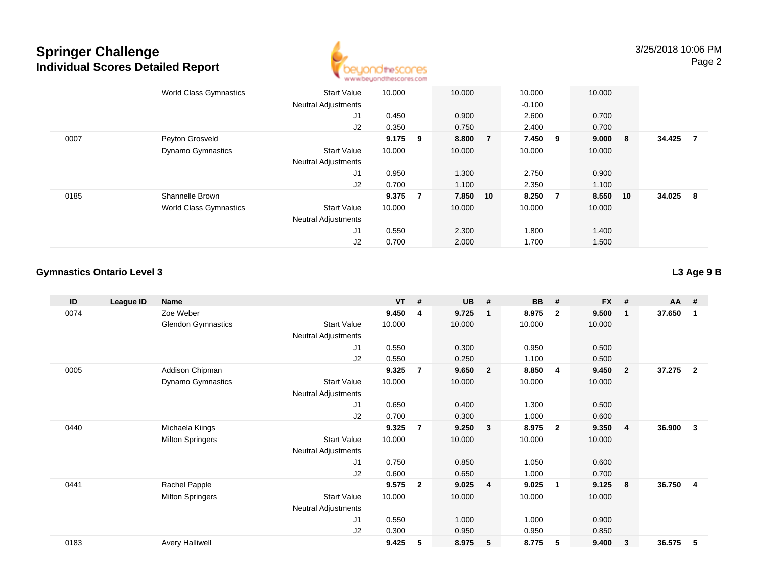

|      | <b>World Class Gymnastics</b> | <b>Start Value</b><br><b>Neutral Adjustments</b> | 10.000    |    | 10.000   |                | 10.000<br>$-0.100$ |                | 10.000 |     |        |                |
|------|-------------------------------|--------------------------------------------------|-----------|----|----------|----------------|--------------------|----------------|--------|-----|--------|----------------|
|      |                               | J1                                               | 0.450     |    | 0.900    |                | 2.600              |                | 0.700  |     |        |                |
|      |                               | J2                                               | 0.350     |    | 0.750    |                | 2.400              |                | 0.700  |     |        |                |
| 0007 | Peyton Grosveld               |                                                  | $9.175$ 9 |    | 8.800    | $\overline{7}$ | 7.450 9            |                | 9.000  | - 8 | 34.425 | $\overline{7}$ |
|      | <b>Dynamo Gymnastics</b>      | <b>Start Value</b>                               | 10.000    |    | 10.000   |                | 10.000             |                | 10.000 |     |        |                |
|      |                               | <b>Neutral Adjustments</b>                       |           |    |          |                |                    |                |        |     |        |                |
|      |                               | J1                                               | 0.950     |    | 1.300    |                | 2.750              |                | 0.900  |     |        |                |
|      |                               | J2                                               | 0.700     |    | 1.100    |                | 2.350              |                | 1.100  |     |        |                |
| 0185 | Shannelle Brown               |                                                  | 9.375     | -7 | 7.850 10 |                | 8.250              | $\overline{7}$ | 8.550  | 10  | 34.025 | - 8            |
|      | <b>World Class Gymnastics</b> | <b>Start Value</b>                               | 10.000    |    | 10.000   |                | 10.000             |                | 10.000 |     |        |                |
|      |                               | <b>Neutral Adjustments</b>                       |           |    |          |                |                    |                |        |     |        |                |
|      |                               | J1                                               | 0.550     |    | 2.300    |                | 1.800              |                | 1.400  |     |        |                |
|      |                               | J2                                               | 0.700     |    | 2.000    |                | 1.700              |                | 1.500  |     |        |                |

#### **Gymnastics Ontario Level 3**

| ID   | League ID | <b>Name</b>               |                            | $VT$ # |                | <b>UB</b> | #                       | <b>BB</b> | #                       | <b>FX</b> | #              | AA     | #              |
|------|-----------|---------------------------|----------------------------|--------|----------------|-----------|-------------------------|-----------|-------------------------|-----------|----------------|--------|----------------|
| 0074 |           | Zoe Weber                 |                            | 9.450  | 4              | 9.725     | $\overline{\mathbf{1}}$ | 8.975     | $\overline{2}$          | 9.500     | $\mathbf 1$    | 37.650 | $\mathbf{1}$   |
|      |           | <b>Glendon Gymnastics</b> | <b>Start Value</b>         | 10.000 |                | 10.000    |                         | 10.000    |                         | 10.000    |                |        |                |
|      |           |                           | <b>Neutral Adjustments</b> |        |                |           |                         |           |                         |           |                |        |                |
|      |           |                           | J <sub>1</sub>             | 0.550  |                | 0.300     |                         | 0.950     |                         | 0.500     |                |        |                |
|      |           |                           | J2                         | 0.550  |                | 0.250     |                         | 1.100     |                         | 0.500     |                |        |                |
| 0005 |           | Addison Chipman           |                            | 9.325  | $\overline{7}$ | 9.650     | $\overline{2}$          | 8.850     | -4                      | 9.450     | $\overline{2}$ | 37.275 | $\overline{2}$ |
|      |           | Dynamo Gymnastics         | <b>Start Value</b>         | 10.000 |                | 10.000    |                         | 10.000    |                         | 10.000    |                |        |                |
|      |           |                           | <b>Neutral Adjustments</b> |        |                |           |                         |           |                         |           |                |        |                |
|      |           |                           | J1                         | 0.650  |                | 0.400     |                         | 1.300     |                         | 0.500     |                |        |                |
|      |           |                           | J2                         | 0.700  |                | 0.300     |                         | 1.000     |                         | 0.600     |                |        |                |
| 0440 |           | Michaela Kiings           |                            | 9.325  | 7              | 9.250     | $\mathbf{3}$            | 8.975     | $\overline{\mathbf{2}}$ | 9.350     | -4             | 36.900 | 3              |
|      |           | <b>Milton Springers</b>   | <b>Start Value</b>         | 10.000 |                | 10.000    |                         | 10.000    |                         | 10.000    |                |        |                |
|      |           |                           | <b>Neutral Adjustments</b> |        |                |           |                         |           |                         |           |                |        |                |
|      |           |                           | J1                         | 0.750  |                | 0.850     |                         | 1.050     |                         | 0.600     |                |        |                |
|      |           |                           | J2                         | 0.600  |                | 0.650     |                         | 1.000     |                         | 0.700     |                |        |                |
| 0441 |           | Rachel Papple             |                            | 9.575  | $\mathbf{2}$   | 9.025     | 4                       | 9.025     | -1                      | 9.125     | 8              | 36.750 | $\overline{4}$ |
|      |           | <b>Milton Springers</b>   | <b>Start Value</b>         | 10.000 |                | 10.000    |                         | 10.000    |                         | 10.000    |                |        |                |
|      |           |                           | <b>Neutral Adjustments</b> |        |                |           |                         |           |                         |           |                |        |                |
|      |           |                           | J1                         | 0.550  |                | 1.000     |                         | 1.000     |                         | 0.900     |                |        |                |
|      |           |                           | J2                         | 0.300  |                | 0.950     |                         | 0.950     |                         | 0.850     |                |        |                |
| 0183 |           | <b>Avery Halliwell</b>    |                            | 9.425  | 5              | 8.975     | 5                       | 8.775     | 5                       | 9.400     | 3              | 36.575 | 5              |
|      |           |                           |                            |        |                |           |                         |           |                         |           |                |        |                |

**L3 Age 9 B**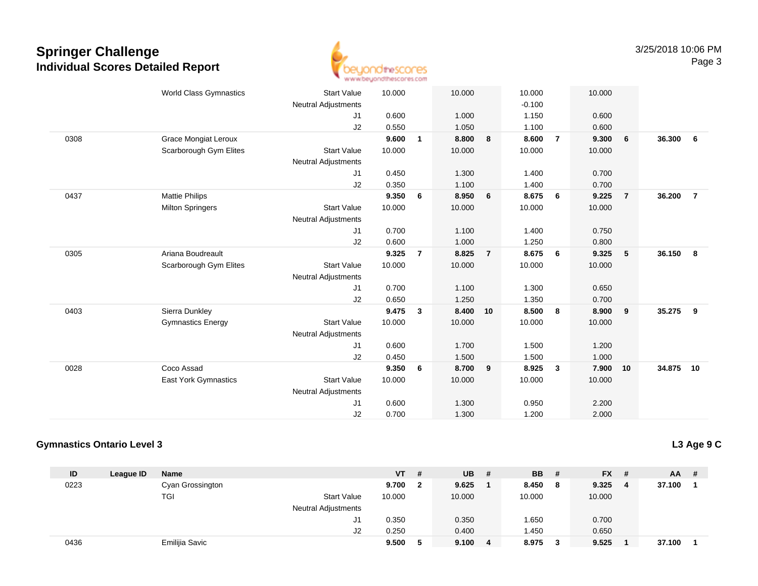

|      | <b>World Class Gymnastics</b> | <b>Start Value</b>         | 10.000 |                | 10.000 |                | 10.000   |                | 10.000 |                |           |                |
|------|-------------------------------|----------------------------|--------|----------------|--------|----------------|----------|----------------|--------|----------------|-----------|----------------|
|      |                               | <b>Neutral Adjustments</b> |        |                |        |                | $-0.100$ |                |        |                |           |                |
|      |                               | J1                         | 0.600  |                | 1.000  |                | 1.150    |                | 0.600  |                |           |                |
|      |                               | J2                         | 0.550  |                | 1.050  |                | 1.100    |                | 0.600  |                |           |                |
| 0308 | <b>Grace Mongiat Leroux</b>   |                            | 9.600  | $\mathbf{1}$   | 8.800  | 8              | 8.600    | $\overline{7}$ | 9.300  | 6              | 36.300    | 6              |
|      | Scarborough Gym Elites        | <b>Start Value</b>         | 10.000 |                | 10.000 |                | 10.000   |                | 10.000 |                |           |                |
|      |                               | <b>Neutral Adjustments</b> |        |                |        |                |          |                |        |                |           |                |
|      |                               | J1                         | 0.450  |                | 1.300  |                | 1.400    |                | 0.700  |                |           |                |
|      |                               | J2                         | 0.350  |                | 1.100  |                | 1.400    |                | 0.700  |                |           |                |
| 0437 | <b>Mattie Philips</b>         |                            | 9.350  | 6              | 8.950  | 6              | 8.675    | 6              | 9.225  | $\overline{7}$ | 36.200    | $\overline{7}$ |
|      | <b>Milton Springers</b>       | <b>Start Value</b>         | 10.000 |                | 10.000 |                | 10.000   |                | 10.000 |                |           |                |
|      |                               | <b>Neutral Adjustments</b> |        |                |        |                |          |                |        |                |           |                |
|      |                               | J1                         | 0.700  |                | 1.100  |                | 1.400    |                | 0.750  |                |           |                |
|      |                               | J2                         | 0.600  |                | 1.000  |                | 1.250    |                | 0.800  |                |           |                |
| 0305 | Ariana Boudreault             |                            | 9.325  | $\overline{7}$ | 8.825  | $\overline{7}$ | 8.675    | 6              | 9.325  | $-5$           | 36.150    | $\bf{8}$       |
|      | Scarborough Gym Elites        | <b>Start Value</b>         | 10.000 |                | 10.000 |                | 10.000   |                | 10.000 |                |           |                |
|      |                               | <b>Neutral Adjustments</b> |        |                |        |                |          |                |        |                |           |                |
|      |                               | J1                         | 0.700  |                | 1.100  |                | 1.300    |                | 0.650  |                |           |                |
|      |                               | J2                         | 0.650  |                | 1.250  |                | 1.350    |                | 0.700  |                |           |                |
| 0403 | Sierra Dunkley                |                            | 9.475  | 3              | 8.400  | 10             | 8.500    | 8              | 8.900  | 9              | 35.275    | 9              |
|      | <b>Gymnastics Energy</b>      | <b>Start Value</b>         | 10.000 |                | 10.000 |                | 10.000   |                | 10.000 |                |           |                |
|      |                               | <b>Neutral Adjustments</b> |        |                |        |                |          |                |        |                |           |                |
|      |                               | J1                         | 0.600  |                | 1.700  |                | 1.500    |                | 1.200  |                |           |                |
|      |                               | J2                         | 0.450  |                | 1.500  |                | 1.500    |                | 1.000  |                |           |                |
| 0028 | Coco Assad                    |                            | 9.350  | 6              | 8.700  | 9              | 8.925    | $\mathbf{3}$   | 7.900  | 10             | 34.875 10 |                |
|      | <b>East York Gymnastics</b>   | <b>Start Value</b>         | 10.000 |                | 10.000 |                | 10.000   |                | 10.000 |                |           |                |
|      |                               | <b>Neutral Adjustments</b> |        |                |        |                |          |                |        |                |           |                |
|      |                               | J <sub>1</sub>             | 0.600  |                | 1.300  |                | 0.950    |                | 2.200  |                |           |                |
|      |                               | J2                         | 0.700  |                | 1.300  |                | 1.200    |                | 2.000  |                |           |                |
|      |                               |                            |        |                |        |                |          |                |        |                |           |                |

#### **Gymnastics Ontario Level 3**

**L3 Age 9 C**

| ID   | League ID | Name             |                            | <b>VT</b> | # | UB     | # | <b>BB</b> | # | FX #   | AA.    | - # |
|------|-----------|------------------|----------------------------|-----------|---|--------|---|-----------|---|--------|--------|-----|
| 0223 |           | Cyan Grossington |                            | 9.700     |   | 9.625  |   | 8.450     | 8 | 9.325  | 37.100 |     |
|      |           | TGI              | <b>Start Value</b>         | 10.000    |   | 10.000 |   | 10.000    |   | 10.000 |        |     |
|      |           |                  | <b>Neutral Adjustments</b> |           |   |        |   |           |   |        |        |     |
|      |           |                  | J1                         | 0.350     |   | 0.350  |   | .650      |   | 0.700  |        |     |
|      |           |                  | J2                         | 0.250     |   | 0.400  |   | 1.450     |   | 0.650  |        |     |
| 0436 |           | Emilijia Savic   |                            | 9.500     |   | 9.100  | 4 | 8.975     | 3 | 9.525  | 37.100 |     |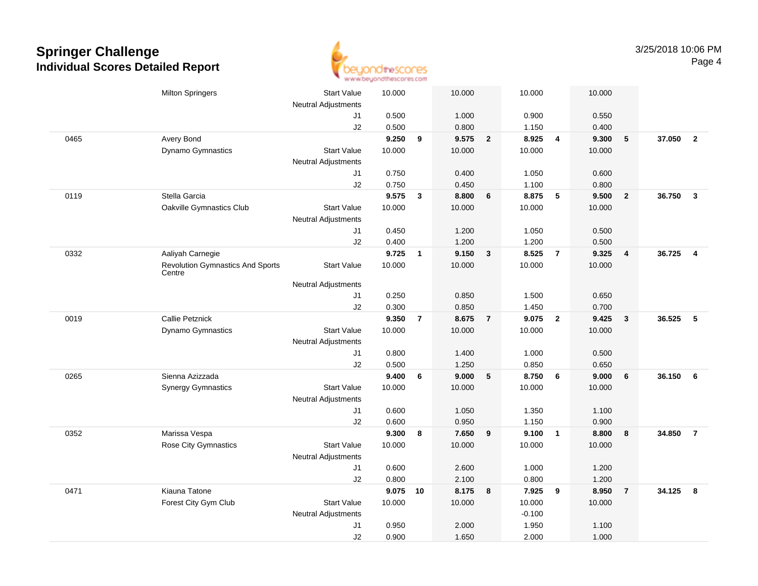

|      | <b>Milton Springers</b>                           | <b>Start Value</b>         | 10.000 |                | 10.000 |                         | 10.000   |                | 10.000 |                |        |                |
|------|---------------------------------------------------|----------------------------|--------|----------------|--------|-------------------------|----------|----------------|--------|----------------|--------|----------------|
|      |                                                   | <b>Neutral Adjustments</b> |        |                |        |                         |          |                |        |                |        |                |
|      |                                                   | J1                         | 0.500  |                | 1.000  |                         | 0.900    |                | 0.550  |                |        |                |
|      |                                                   | J2                         | 0.500  |                | 0.800  |                         | 1.150    |                | 0.400  |                |        |                |
| 0465 | Avery Bond                                        |                            | 9.250  | 9              | 9.575  | $\overline{\mathbf{2}}$ | 8.925    | $\overline{4}$ | 9.300  | 5              | 37.050 | $\overline{2}$ |
|      | Dynamo Gymnastics                                 | <b>Start Value</b>         | 10.000 |                | 10.000 |                         | 10.000   |                | 10.000 |                |        |                |
|      |                                                   | <b>Neutral Adjustments</b> |        |                |        |                         |          |                |        |                |        |                |
|      |                                                   | J1                         | 0.750  |                | 0.400  |                         | 1.050    |                | 0.600  |                |        |                |
|      |                                                   | J2                         | 0.750  |                | 0.450  |                         | 1.100    |                | 0.800  |                |        |                |
| 0119 | Stella Garcia                                     |                            | 9.575  | $\mathbf{3}$   | 8.800  | 6                       | 8.875    | 5              | 9.500  | $\overline{2}$ | 36.750 | $\mathbf{3}$   |
|      | Oakville Gymnastics Club                          | <b>Start Value</b>         | 10.000 |                | 10.000 |                         | 10.000   |                | 10.000 |                |        |                |
|      |                                                   | <b>Neutral Adjustments</b> |        |                |        |                         |          |                |        |                |        |                |
|      |                                                   | J1                         | 0.450  |                | 1.200  |                         | 1.050    |                | 0.500  |                |        |                |
|      |                                                   | J2                         | 0.400  |                | 1.200  |                         | 1.200    |                | 0.500  |                |        |                |
| 0332 | Aaliyah Carnegie                                  |                            | 9.725  | $\mathbf{1}$   | 9.150  | $\mathbf{3}$            | 8.525    | $\overline{7}$ | 9.325  | $\overline{4}$ | 36.725 | $\overline{4}$ |
|      | <b>Revolution Gymnastics And Sports</b><br>Centre | <b>Start Value</b>         | 10.000 |                | 10.000 |                         | 10.000   |                | 10.000 |                |        |                |
|      |                                                   | Neutral Adjustments        |        |                |        |                         |          |                |        |                |        |                |
|      |                                                   | J1                         | 0.250  |                | 0.850  |                         | 1.500    |                | 0.650  |                |        |                |
|      |                                                   | J2                         | 0.300  |                | 0.850  |                         | 1.450    |                | 0.700  |                |        |                |
| 0019 | <b>Callie Petznick</b>                            |                            | 9.350  | $\overline{7}$ | 8.675  | $\overline{7}$          | 9.075    | $\overline{2}$ | 9.425  | $\mathbf{3}$   | 36.525 | 5              |
|      | Dynamo Gymnastics                                 | <b>Start Value</b>         | 10.000 |                | 10.000 |                         | 10.000   |                | 10.000 |                |        |                |
|      |                                                   | <b>Neutral Adjustments</b> |        |                |        |                         |          |                |        |                |        |                |
|      |                                                   | J1                         | 0.800  |                | 1.400  |                         | 1.000    |                | 0.500  |                |        |                |
|      |                                                   | J2                         | 0.500  |                | 1.250  |                         | 0.850    |                | 0.650  |                |        |                |
| 0265 | Sienna Azizzada                                   |                            | 9.400  | 6              | 9.000  | 5                       | 8.750    | 6              | 9.000  | 6              | 36.150 | 6              |
|      | <b>Synergy Gymnastics</b>                         | <b>Start Value</b>         | 10.000 |                | 10.000 |                         | 10.000   |                | 10.000 |                |        |                |
|      |                                                   | <b>Neutral Adjustments</b> |        |                |        |                         |          |                |        |                |        |                |
|      |                                                   | J1                         | 0.600  |                | 1.050  |                         | 1.350    |                | 1.100  |                |        |                |
|      |                                                   | J2                         | 0.600  |                | 0.950  |                         | 1.150    |                | 0.900  |                |        |                |
| 0352 | Marissa Vespa                                     |                            | 9.300  | 8              | 7.650  | 9                       | 9.100    | $\overline{1}$ | 8.800  | 8              | 34.850 | $\overline{7}$ |
|      | Rose City Gymnastics                              | <b>Start Value</b>         | 10.000 |                | 10.000 |                         | 10.000   |                | 10.000 |                |        |                |
|      |                                                   | <b>Neutral Adjustments</b> |        |                |        |                         |          |                |        |                |        |                |
|      |                                                   | J1                         | 0.600  |                | 2.600  |                         | 1.000    |                | 1.200  |                |        |                |
|      |                                                   | J2                         | 0.800  |                | 2.100  |                         | 0.800    |                | 1.200  |                |        |                |
| 0471 | Kiauna Tatone                                     |                            | 9.075  | 10             | 8.175  | 8                       | 7.925    | 9              | 8.950  | $\overline{7}$ | 34.125 | 8              |
|      | Forest City Gym Club                              | <b>Start Value</b>         | 10.000 |                | 10.000 |                         | 10.000   |                | 10.000 |                |        |                |
|      |                                                   | <b>Neutral Adjustments</b> |        |                |        |                         | $-0.100$ |                |        |                |        |                |
|      |                                                   | J1                         | 0.950  |                | 2.000  |                         | 1.950    |                | 1.100  |                |        |                |
|      |                                                   | J2                         | 0.900  |                | 1.650  |                         | 2.000    |                | 1.000  |                |        |                |
|      |                                                   |                            |        |                |        |                         |          |                |        |                |        |                |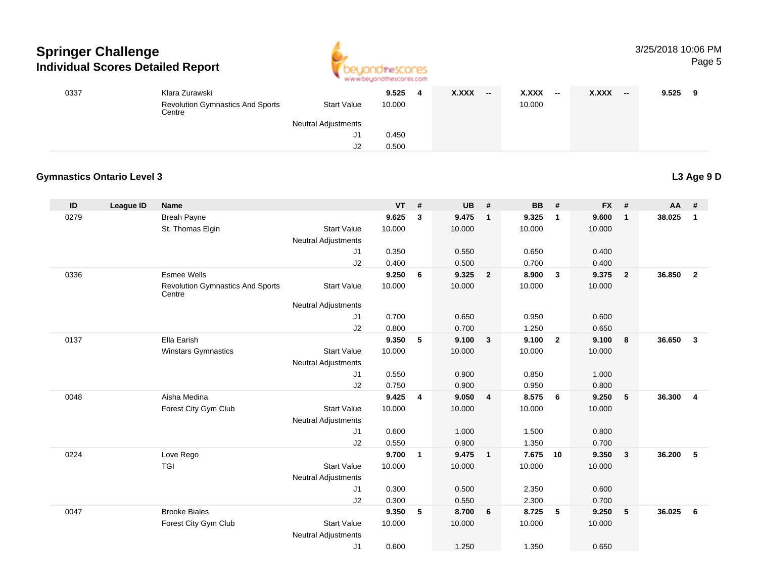

| 0337 | Klara Zurawski<br><b>Revolution Gymnastics And Sports</b><br>Centre | <b>Start Value</b>         | 9.525<br>10.000 | 4 | X.XXX | -- | X.XXX<br>10.000 | $-$ | <b>X.XXX</b> | $-$ | 9.525 |  |
|------|---------------------------------------------------------------------|----------------------------|-----------------|---|-------|----|-----------------|-----|--------------|-----|-------|--|
|      |                                                                     | <b>Neutral Adjustments</b> |                 |   |       |    |                 |     |              |     |       |  |
|      |                                                                     | J1.                        | 0.450           |   |       |    |                 |     |              |     |       |  |
|      |                                                                     | J2                         | 0.500           |   |       |    |                 |     |              |     |       |  |

#### **Gymnastics Ontario Level 3**

**ID League ID Name VT # UB # BB # FX # AA #** 0279 Breah Payne **9.625 <sup>3</sup> 9.475 <sup>1</sup> 9.325 <sup>1</sup> 9.600 <sup>1</sup> 38.025 <sup>1</sup>** St. Thomas Elgin Start Value 10.000 10.000 10.000 10.000 Neutral Adjustments J1 0.350 0.550 0.650 0.400 J2 0.400 0.500 0.700 0.400 0336 Esmee Wells **9.250 <sup>6</sup> 9.325 <sup>2</sup> 8.900 <sup>3</sup> 9.375 <sup>2</sup> 36.850 <sup>2</sup>** Revolution Gymnastics And Sports**Centre** Start Valuee 10.000 10.000 10.000 10.000 Neutral Adjustments J1 0.700 0.650 0.950 0.600 J2 0.800 0.700 1.250 0.650 0137 Ella Earish **9.350 <sup>5</sup> 9.100 <sup>3</sup> 9.100 <sup>2</sup> 9.100 <sup>8</sup> 36.650 <sup>3</sup>** Winstars Gymnastics Start Valuee 10.000 10.000 10.000 10.000 Neutral Adjustments J1 0.550 0.900 0.850 1.000 J2 0.750 0.900 0.950 0.800 0048 Aisha Medina **9.425 <sup>4</sup> 9.050 <sup>4</sup> 8.575 <sup>6</sup> 9.250 <sup>5</sup> 36.300 <sup>4</sup>** Forest City Gym Club Start Value 10.000 10.000 10.000 10.000 Neutral Adjustments J1 0.600 1.000 1.500 0.800 J2 0.550 0.900 1.350 0.700 0224 Love Rego **9.700 <sup>1</sup> 9.475 <sup>1</sup> 7.675 <sup>10</sup> 9.350 <sup>3</sup> 36.200 <sup>5</sup>** TGI Start Valuee 10.000 10.000 10.000 10.000 Neutral Adjustments J1 0.300 0.500 2.350 0.600 J2 0.300 0.550 2.300 0.700 0047 Brooke Biales **9.350 <sup>5</sup> 8.700 <sup>6</sup> 8.725 <sup>5</sup> 9.250 <sup>5</sup> 36.025 <sup>6</sup>** Forest City Gym Club Start Value 10.000 10.000 10.000 10.000 Neutral Adjustments J10.600 1.250 1.350 0.650

**L3 Age 9 D**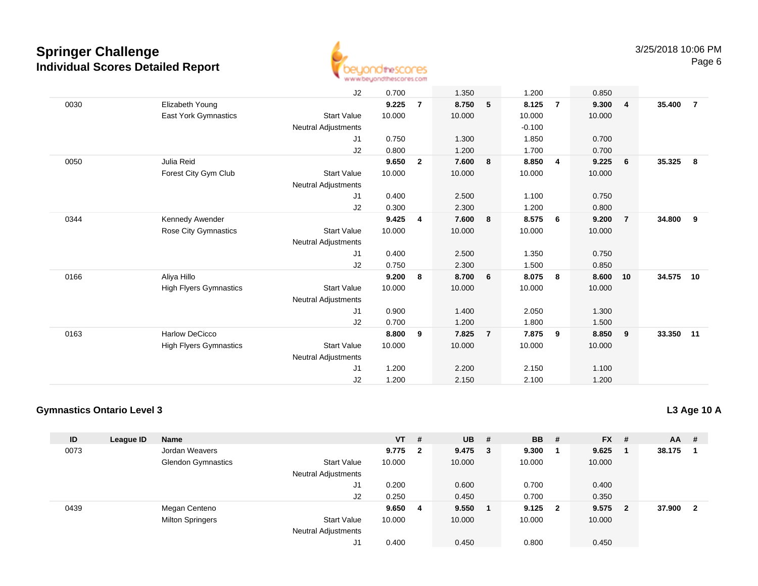

|      |                               | J2                         | 0.700  |                | 1.350  |                 | 1.200    |                | 0.850  |                |        |                |
|------|-------------------------------|----------------------------|--------|----------------|--------|-----------------|----------|----------------|--------|----------------|--------|----------------|
| 0030 | Elizabeth Young               |                            | 9.225  | $\overline{7}$ | 8.750  | 5               | 8.125    | $\overline{7}$ | 9.300  | $\overline{4}$ | 35.400 | $\overline{7}$ |
|      | East York Gymnastics          | <b>Start Value</b>         | 10.000 |                | 10.000 |                 | 10.000   |                | 10.000 |                |        |                |
|      |                               | Neutral Adjustments        |        |                |        |                 | $-0.100$ |                |        |                |        |                |
|      |                               | J1                         | 0.750  |                | 1.300  |                 | 1.850    |                | 0.700  |                |        |                |
|      |                               | J2                         | 0.800  |                | 1.200  |                 | 1.700    |                | 0.700  |                |        |                |
| 0050 | Julia Reid                    |                            | 9.650  | $\overline{2}$ | 7.600  | 8               | 8.850    | $\overline{4}$ | 9.225  | - 6            | 35.325 | 8              |
|      | Forest City Gym Club          | <b>Start Value</b>         | 10.000 |                | 10.000 |                 | 10.000   |                | 10.000 |                |        |                |
|      |                               | Neutral Adjustments        |        |                |        |                 |          |                |        |                |        |                |
|      |                               | J1                         | 0.400  |                | 2.500  |                 | 1.100    |                | 0.750  |                |        |                |
|      |                               | J2                         | 0.300  |                | 2.300  |                 | 1.200    |                | 0.800  |                |        |                |
| 0344 | Kennedy Awender               |                            | 9.425  | 4              | 7.600  | 8               | 8.575    | - 6            | 9.200  | $\overline{7}$ | 34.800 | 9              |
|      | <b>Rose City Gymnastics</b>   | <b>Start Value</b>         | 10.000 |                | 10.000 |                 | 10.000   |                | 10.000 |                |        |                |
|      |                               | <b>Neutral Adjustments</b> |        |                |        |                 |          |                |        |                |        |                |
|      |                               | J1                         | 0.400  |                | 2.500  |                 | 1.350    |                | 0.750  |                |        |                |
|      |                               | J2                         | 0.750  |                | 2.300  |                 | 1.500    |                | 0.850  |                |        |                |
| 0166 | Aliya Hillo                   |                            | 9.200  | 8              | 8.700  | $6\overline{6}$ | 8.075    | 8              | 8.600  | 10             | 34.575 | 10             |
|      | <b>High Flyers Gymnastics</b> | <b>Start Value</b>         | 10.000 |                | 10.000 |                 | 10.000   |                | 10.000 |                |        |                |
|      |                               | Neutral Adjustments        |        |                |        |                 |          |                |        |                |        |                |
|      |                               | J1                         | 0.900  |                | 1.400  |                 | 2.050    |                | 1.300  |                |        |                |
|      |                               | J2                         | 0.700  |                | 1.200  |                 | 1.800    |                | 1.500  |                |        |                |
| 0163 | <b>Harlow DeCicco</b>         |                            | 8.800  | 9              | 7.825  | $\overline{7}$  | 7.875    | 9              | 8.850  | 9              | 33.350 | 11             |
|      | <b>High Flyers Gymnastics</b> | <b>Start Value</b>         | 10.000 |                | 10.000 |                 | 10.000   |                | 10.000 |                |        |                |
|      |                               | <b>Neutral Adjustments</b> |        |                |        |                 |          |                |        |                |        |                |
|      |                               | J1                         | 1.200  |                | 2.200  |                 | 2.150    |                | 1.100  |                |        |                |
|      |                               | J2                         | 1.200  |                | 2.150  |                 | 2.100    |                | 1.200  |                |        |                |
|      |                               |                            |        |                |        |                 |          |                |        |                |        |                |

### **Gymnastics Ontario Level 3**

| ID   | League ID | <b>Name</b>               |                            | $VT$ # |              | $UB$ # |        | <b>BB</b> | - # | <b>FX</b> | - # | AA     | #            |
|------|-----------|---------------------------|----------------------------|--------|--------------|--------|--------|-----------|-----|-----------|-----|--------|--------------|
| 0073 |           | Jordan Weavers            |                            | 9.775  | $\mathbf{2}$ | 9.475  | $_{3}$ | 9.300     |     | 9.625     |     | 38.175 |              |
|      |           | <b>Glendon Gymnastics</b> | <b>Start Value</b>         | 10.000 |              | 10.000 |        | 10.000    |     | 10.000    |     |        |              |
|      |           |                           | Neutral Adjustments        |        |              |        |        |           |     |           |     |        |              |
|      |           |                           | J1                         | 0.200  |              | 0.600  |        | 0.700     |     | 0.400     |     |        |              |
|      |           |                           | J2                         | 0.250  |              | 0.450  |        | 0.700     |     | 0.350     |     |        |              |
| 0439 |           | Megan Centeno             |                            | 9.650  | 4            | 9.550  |        | $9.125$ 2 |     | 9.575     | - 2 | 37.900 | $\mathbf{2}$ |
|      |           | <b>Milton Springers</b>   | <b>Start Value</b>         | 10.000 |              | 10.000 |        | 10.000    |     | 10.000    |     |        |              |
|      |           |                           | <b>Neutral Adjustments</b> |        |              |        |        |           |     |           |     |        |              |
|      |           |                           | J1                         | 0.400  |              | 0.450  |        | 0.800     |     | 0.450     |     |        |              |

#### **L3 Age 10 A**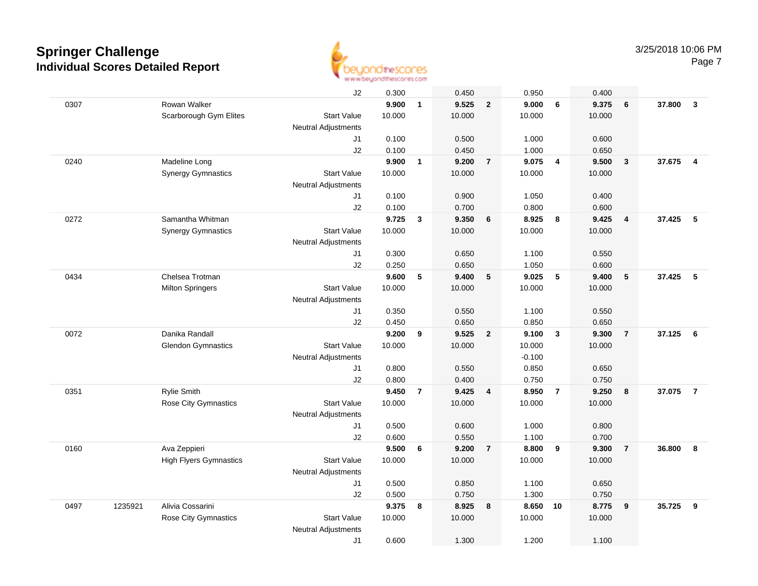

|      |         |                               | J2                         | 0.300  |                | 0.450  |                | 0.950    |                         | 0.400  |                         |        |                         |
|------|---------|-------------------------------|----------------------------|--------|----------------|--------|----------------|----------|-------------------------|--------|-------------------------|--------|-------------------------|
| 0307 |         | Rowan Walker                  |                            | 9.900  | $\mathbf{1}$   | 9.525  | $\overline{2}$ | 9.000    | 6                       | 9.375  | 6                       | 37.800 | $\mathbf{3}$            |
|      |         | Scarborough Gym Elites        | <b>Start Value</b>         | 10.000 |                | 10.000 |                | 10.000   |                         | 10.000 |                         |        |                         |
|      |         |                               | Neutral Adjustments        |        |                |        |                |          |                         |        |                         |        |                         |
|      |         |                               | J1                         | 0.100  |                | 0.500  |                | 1.000    |                         | 0.600  |                         |        |                         |
|      |         |                               | J2                         | 0.100  |                | 0.450  |                | 1.000    |                         | 0.650  |                         |        |                         |
| 0240 |         | Madeline Long                 |                            | 9.900  | $\mathbf{1}$   | 9.200  | $\overline{7}$ | 9.075    | $\overline{4}$          | 9.500  | $\overline{\mathbf{3}}$ | 37.675 | $\overline{\mathbf{4}}$ |
|      |         | <b>Synergy Gymnastics</b>     | <b>Start Value</b>         | 10.000 |                | 10.000 |                | 10.000   |                         | 10.000 |                         |        |                         |
|      |         |                               | <b>Neutral Adjustments</b> |        |                |        |                |          |                         |        |                         |        |                         |
|      |         |                               | J1                         | 0.100  |                | 0.900  |                | 1.050    |                         | 0.400  |                         |        |                         |
|      |         |                               | J2                         | 0.100  |                | 0.700  |                | 0.800    |                         | 0.600  |                         |        |                         |
| 0272 |         | Samantha Whitman              |                            | 9.725  | 3              | 9.350  | 6              | 8.925    | $\overline{\mathbf{8}}$ | 9.425  | $\overline{4}$          | 37.425 | 5                       |
|      |         | <b>Synergy Gymnastics</b>     | <b>Start Value</b>         | 10.000 |                | 10.000 |                | 10.000   |                         | 10.000 |                         |        |                         |
|      |         |                               | <b>Neutral Adjustments</b> |        |                |        |                |          |                         |        |                         |        |                         |
|      |         |                               | J1                         | 0.300  |                | 0.650  |                | 1.100    |                         | 0.550  |                         |        |                         |
|      |         |                               | J2                         | 0.250  |                | 0.650  |                | 1.050    |                         | 0.600  |                         |        |                         |
| 0434 |         | Chelsea Trotman               |                            | 9.600  | 5              | 9.400  | 5              | 9.025    | 5                       | 9.400  | 5                       | 37.425 | 5                       |
|      |         | <b>Milton Springers</b>       | <b>Start Value</b>         | 10.000 |                | 10.000 |                | 10.000   |                         | 10.000 |                         |        |                         |
|      |         |                               | <b>Neutral Adjustments</b> |        |                |        |                |          |                         |        |                         |        |                         |
|      |         |                               | J1                         | 0.350  |                | 0.550  |                | 1.100    |                         | 0.550  |                         |        |                         |
|      |         |                               | J2                         | 0.450  |                | 0.650  |                | 0.850    |                         | 0.650  |                         |        |                         |
| 0072 |         | Danika Randall                |                            | 9.200  | 9              | 9.525  | $\overline{2}$ | 9.100    | $\mathbf{3}$            | 9.300  | $\overline{7}$          | 37.125 | - 6                     |
|      |         | <b>Glendon Gymnastics</b>     | <b>Start Value</b>         | 10.000 |                | 10.000 |                | 10.000   |                         | 10.000 |                         |        |                         |
|      |         |                               | Neutral Adjustments        |        |                |        |                | $-0.100$ |                         |        |                         |        |                         |
|      |         |                               | J1                         | 0.800  |                | 0.550  |                | 0.850    |                         | 0.650  |                         |        |                         |
|      |         |                               | J2                         | 0.800  |                | 0.400  |                | 0.750    |                         | 0.750  |                         |        |                         |
| 0351 |         | <b>Rylie Smith</b>            |                            | 9.450  | $\overline{7}$ | 9.425  | 4              | 8.950    | $\overline{7}$          | 9.250  | 8                       | 37.075 | $\overline{7}$          |
|      |         | <b>Rose City Gymnastics</b>   | <b>Start Value</b>         | 10.000 |                | 10.000 |                | 10.000   |                         | 10.000 |                         |        |                         |
|      |         |                               | Neutral Adjustments        |        |                |        |                |          |                         |        |                         |        |                         |
|      |         |                               | J1                         | 0.500  |                | 0.600  |                | 1.000    |                         | 0.800  |                         |        |                         |
|      |         |                               | J2                         | 0.600  |                | 0.550  |                | 1.100    |                         | 0.700  |                         |        |                         |
| 0160 |         | Ava Zeppieri                  |                            | 9.500  | 6              | 9.200  | $\overline{7}$ | 8.800    | 9                       | 9.300  | $\overline{7}$          | 36.800 | 8                       |
|      |         | <b>High Flyers Gymnastics</b> | <b>Start Value</b>         | 10.000 |                | 10.000 |                | 10.000   |                         | 10.000 |                         |        |                         |
|      |         |                               | Neutral Adjustments        |        |                |        |                |          |                         |        |                         |        |                         |
|      |         |                               | J1                         | 0.500  |                | 0.850  |                | 1.100    |                         | 0.650  |                         |        |                         |
|      |         |                               | J2                         | 0.500  |                | 0.750  |                | 1.300    |                         | 0.750  |                         |        |                         |
| 0497 | 1235921 | Alivia Cossarini              |                            | 9.375  | 8              | 8.925  | 8              | 8.650    | 10                      | 8.775  | 9                       | 35.725 | 9                       |
|      |         | Rose City Gymnastics          | <b>Start Value</b>         | 10.000 |                | 10.000 |                | 10.000   |                         | 10.000 |                         |        |                         |
|      |         |                               | <b>Neutral Adjustments</b> |        |                |        |                |          |                         |        |                         |        |                         |
|      |         |                               | J1                         | 0.600  |                | 1.300  |                | 1.200    |                         | 1.100  |                         |        |                         |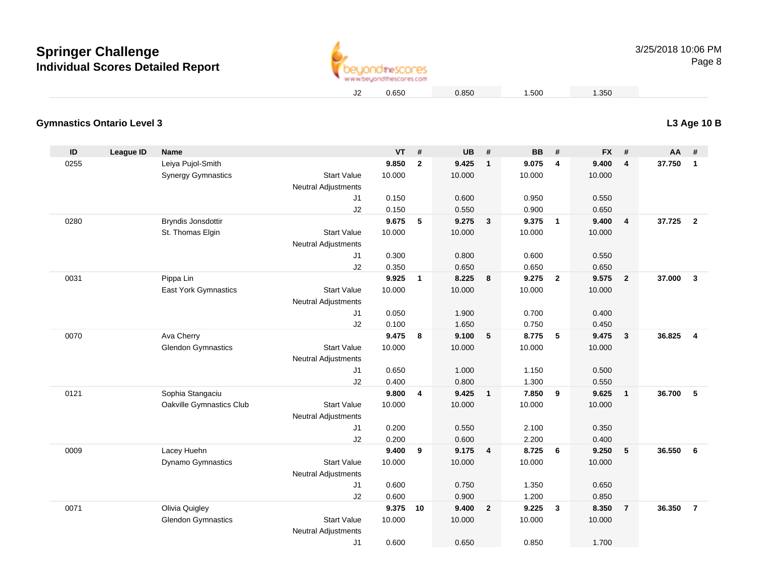

0.650 0.850 1.500 1.350

### **L3 Age 10 B**

| <b>Gymnastics Ontario Level 3</b> |  |  |
|-----------------------------------|--|--|
|-----------------------------------|--|--|

| ID   | <b>League ID</b> | <b>Name</b>               |                            | <b>VT</b> | #            | <b>UB</b> | #                       | <b>BB</b> | #                       | <b>FX</b> | #                       | AA     | #                       |
|------|------------------|---------------------------|----------------------------|-----------|--------------|-----------|-------------------------|-----------|-------------------------|-----------|-------------------------|--------|-------------------------|
| 0255 |                  | Leiya Pujol-Smith         |                            | 9.850     | $\mathbf{2}$ | 9.425     | $\overline{1}$          | 9.075     | 4                       | 9.400     | $\overline{\mathbf{4}}$ | 37.750 | $\overline{1}$          |
|      |                  | <b>Synergy Gymnastics</b> | <b>Start Value</b>         | 10.000    |              | 10.000    |                         | 10.000    |                         | 10.000    |                         |        |                         |
|      |                  |                           | <b>Neutral Adjustments</b> |           |              |           |                         |           |                         |           |                         |        |                         |
|      |                  |                           | J <sub>1</sub>             | 0.150     |              | 0.600     |                         | 0.950     |                         | 0.550     |                         |        |                         |
|      |                  |                           | J2                         | 0.150     |              | 0.550     |                         | 0.900     |                         | 0.650     |                         |        |                         |
| 0280 |                  | <b>Bryndis Jonsdottir</b> |                            | 9.675     | 5            | 9.275     | $\overline{\mathbf{3}}$ | 9.375     | $\mathbf{1}$            | 9.400     | 4                       | 37.725 | $\overline{\mathbf{2}}$ |
|      |                  | St. Thomas Elgin          | <b>Start Value</b>         | 10.000    |              | 10.000    |                         | 10.000    |                         | 10.000    |                         |        |                         |
|      |                  |                           | <b>Neutral Adjustments</b> |           |              |           |                         |           |                         |           |                         |        |                         |
|      |                  |                           | J <sub>1</sub>             | 0.300     |              | 0.800     |                         | 0.600     |                         | 0.550     |                         |        |                         |
|      |                  |                           | J2                         | 0.350     |              | 0.650     |                         | 0.650     |                         | 0.650     |                         |        |                         |
| 0031 |                  | Pippa Lin                 |                            | 9.925     | $\mathbf{1}$ | 8.225     | 8                       | 9.275     | $\overline{\mathbf{2}}$ | 9.575     | $\overline{2}$          | 37.000 | $\mathbf{3}$            |
|      |                  | East York Gymnastics      | <b>Start Value</b>         | 10.000    |              | 10.000    |                         | 10.000    |                         | 10.000    |                         |        |                         |
|      |                  |                           | <b>Neutral Adjustments</b> |           |              |           |                         |           |                         |           |                         |        |                         |
|      |                  |                           | J <sub>1</sub>             | 0.050     |              | 1.900     |                         | 0.700     |                         | 0.400     |                         |        |                         |
|      |                  |                           | J2                         | 0.100     |              | 1.650     |                         | 0.750     |                         | 0.450     |                         |        |                         |
| 0070 |                  | Ava Cherry                |                            | 9.475     | 8            | 9.100     | $\sqrt{5}$              | 8.775     | 5                       | 9.475     | 3                       | 36.825 | $\overline{4}$          |
|      |                  | <b>Glendon Gymnastics</b> | <b>Start Value</b>         | 10.000    |              | 10.000    |                         | 10.000    |                         | 10.000    |                         |        |                         |
|      |                  |                           | <b>Neutral Adjustments</b> |           |              |           |                         |           |                         |           |                         |        |                         |
|      |                  |                           | J <sub>1</sub>             | 0.650     |              | 1.000     |                         | 1.150     |                         | 0.500     |                         |        |                         |
|      |                  |                           | J2                         | 0.400     |              | 0.800     |                         | 1.300     |                         | 0.550     |                         |        |                         |
| 0121 |                  | Sophia Stangaciu          |                            | 9.800     | 4            | 9.425     | $\overline{\mathbf{1}}$ | 7.850     | 9                       | 9.625     | $\mathbf{1}$            | 36.700 | 5                       |
|      |                  | Oakville Gymnastics Club  | <b>Start Value</b>         | 10.000    |              | 10.000    |                         | 10.000    |                         | 10.000    |                         |        |                         |
|      |                  |                           | <b>Neutral Adjustments</b> |           |              |           |                         |           |                         |           |                         |        |                         |
|      |                  |                           | J <sub>1</sub>             | 0.200     |              | 0.550     |                         | 2.100     |                         | 0.350     |                         |        |                         |
|      |                  |                           | J2                         | 0.200     |              | 0.600     |                         | 2.200     |                         | 0.400     |                         |        |                         |
| 0009 |                  | Lacey Huehn               |                            | 9.400     | 9            | 9.175     | $\overline{\mathbf{4}}$ | 8.725     | 6                       | 9.250     | $5\phantom{.0}$         | 36.550 | 6                       |
|      |                  | Dynamo Gymnastics         | <b>Start Value</b>         | 10.000    |              | 10.000    |                         | 10.000    |                         | 10.000    |                         |        |                         |
|      |                  |                           | <b>Neutral Adjustments</b> |           |              |           |                         |           |                         |           |                         |        |                         |
|      |                  |                           | J <sub>1</sub>             | 0.600     |              | 0.750     |                         | 1.350     |                         | 0.650     |                         |        |                         |
|      |                  |                           | J2                         | 0.600     |              | 0.900     |                         | 1.200     |                         | 0.850     |                         |        |                         |
| 0071 |                  | Olivia Quigley            |                            | 9.375 10  |              | 9.400     | $\overline{\mathbf{2}}$ | 9.225     | 3                       | 8.350     | $\overline{7}$          | 36.350 | $\overline{7}$          |
|      |                  | <b>Glendon Gymnastics</b> | <b>Start Value</b>         | 10.000    |              | 10.000    |                         | 10.000    |                         | 10.000    |                         |        |                         |
|      |                  |                           | <b>Neutral Adjustments</b> |           |              |           |                         |           |                         |           |                         |        |                         |
|      |                  |                           | J <sub>1</sub>             | 0.600     |              | 0.650     |                         | 0.850     |                         | 1.700     |                         |        |                         |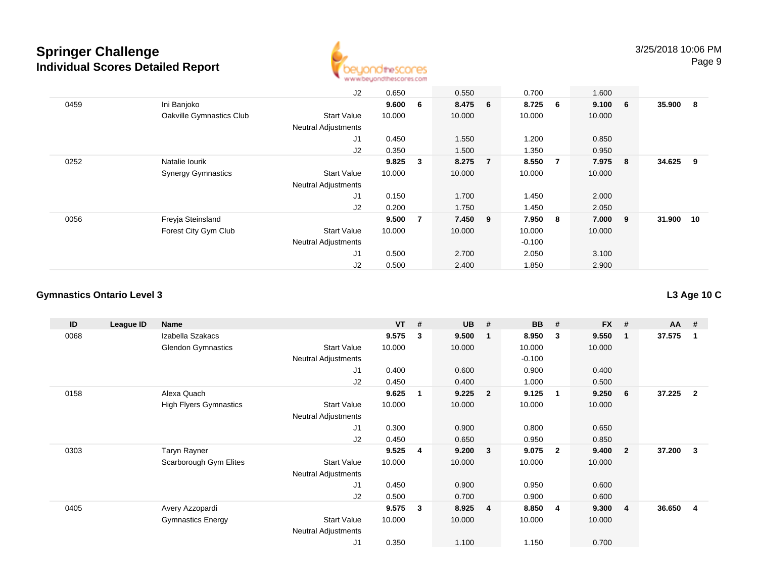

|      |                           | J2                         | 0.650  |   | 0.550   |                | 0.700    |                | 1.600   |     |           |     |
|------|---------------------------|----------------------------|--------|---|---------|----------------|----------|----------------|---------|-----|-----------|-----|
| 0459 | Ini Banjoko               |                            | 9.600  | 6 | 8.475 6 |                | 8.725    | 6              | 9.100 6 |     | 35.900 8  |     |
|      | Oakville Gymnastics Club  | <b>Start Value</b>         | 10.000 |   | 10.000  |                | 10.000   |                | 10.000  |     |           |     |
|      |                           | <b>Neutral Adjustments</b> |        |   |         |                |          |                |         |     |           |     |
|      |                           | J1                         | 0.450  |   | 1.550   |                | 1.200    |                | 0.850   |     |           |     |
|      |                           | J <sub>2</sub>             | 0.350  |   | 1.500   |                | 1.350    |                | 0.950   |     |           |     |
| 0252 | Natalie lourik            |                            | 9.825  | 3 | 8.275   | $\overline{7}$ | 8.550    | $\overline{7}$ | 7.975   | - 8 | 34.625    | - 9 |
|      | <b>Synergy Gymnastics</b> | <b>Start Value</b>         | 10.000 |   | 10.000  |                | 10.000   |                | 10.000  |     |           |     |
|      |                           | <b>Neutral Adjustments</b> |        |   |         |                |          |                |         |     |           |     |
|      |                           | J <sub>1</sub>             | 0.150  |   | 1.700   |                | 1.450    |                | 2.000   |     |           |     |
|      |                           | J2                         | 0.200  |   | 1.750   |                | 1.450    |                | 2.050   |     |           |     |
| 0056 | Freyja Steinsland         |                            | 9.500  | 7 | 7.450 9 |                | 7.950    | 8              | 7.000 9 |     | 31.900 10 |     |
|      | Forest City Gym Club      | <b>Start Value</b>         | 10.000 |   | 10.000  |                | 10.000   |                | 10.000  |     |           |     |
|      |                           | <b>Neutral Adjustments</b> |        |   |         |                | $-0.100$ |                |         |     |           |     |
|      |                           | J <sub>1</sub>             | 0.500  |   | 2.700   |                | 2.050    |                | 3.100   |     |           |     |
|      |                           | J2                         | 0.500  |   | 2.400   |                | 1.850    |                | 2.900   |     |           |     |

#### **Gymnastics Ontario Level 3**

**ID League ID Name VT # UB # BB # FX # AA #** 0068 Izabella Szakacs **9.575 <sup>3</sup> 9.500 <sup>1</sup> 8.950 <sup>3</sup> 9.550 <sup>1</sup> 37.575 <sup>1</sup>** Glendon Gymnastics Start Valuee 10.000 10.000 10.000 10.000 Neutral Adjustments $-0.100$ 0.900 J1 0.400 0.600 0.900 0.400 J2 0.450 0.400 1.000 0.500 0158 Alexa Quach **9.625 <sup>1</sup> 9.225 <sup>2</sup> 9.125 <sup>1</sup> 9.250 <sup>6</sup> 37.225 <sup>2</sup>** High Flyers Gymnastics Start Valuee 10.000 10.000 10.000 10.000 Neutral Adjustments J1 0.300 0.900 0.800 0.650 J2 0.450 0.650 0.950 0.850 0303 Taryn Rayner **9.525 <sup>4</sup> 9.200 <sup>3</sup> 9.075 <sup>2</sup> 9.400 <sup>2</sup> 37.200 <sup>3</sup>** Scarborough Gym Elites Start Valuee 10.000 10.000 10.000 10.000 Neutral Adjustments J1 0.450 0.900 0.950 0.600 J2 0.500 0.700 0.900 0.600 0405 Avery Azzopardi **9.575 <sup>3</sup> 8.925 <sup>4</sup> 8.850 <sup>4</sup> 9.300 <sup>4</sup> 36.650 <sup>4</sup>** Gymnastics Energy Start Valuee 10.000 10.000 10.000 10.000 Neutral Adjustments J10.350 1.100 1.150 0.700

**L3 Age 10 C**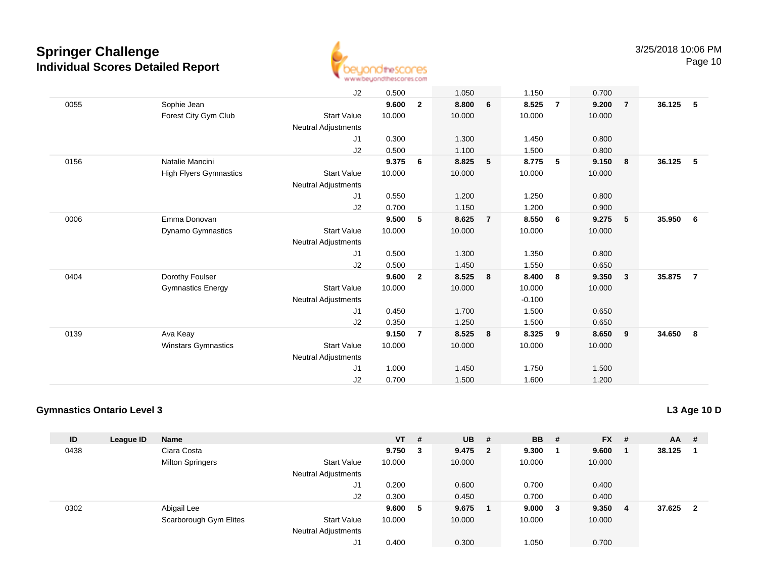

Page 10

|      |                               | J2                         | 0.500  |                | 1.050  |                | 1.150    |                | 0.700  |                         |        |                |
|------|-------------------------------|----------------------------|--------|----------------|--------|----------------|----------|----------------|--------|-------------------------|--------|----------------|
| 0055 | Sophie Jean                   |                            | 9.600  | $\overline{2}$ | 8.800  | 6              | 8.525    | $\overline{7}$ | 9.200  | $\overline{7}$          | 36.125 | 5              |
|      | Forest City Gym Club          | <b>Start Value</b>         | 10.000 |                | 10.000 |                | 10.000   |                | 10.000 |                         |        |                |
|      |                               | Neutral Adjustments        |        |                |        |                |          |                |        |                         |        |                |
|      |                               | J1                         | 0.300  |                | 1.300  |                | 1.450    |                | 0.800  |                         |        |                |
|      |                               | J2                         | 0.500  |                | 1.100  |                | 1.500    |                | 0.800  |                         |        |                |
| 0156 | Natalie Mancini               |                            | 9.375  | 6              | 8.825  | 5              | 8.775    | 5              | 9.150  | 8                       | 36.125 | 5              |
|      | <b>High Flyers Gymnastics</b> | <b>Start Value</b>         | 10.000 |                | 10.000 |                | 10.000   |                | 10.000 |                         |        |                |
|      |                               | Neutral Adjustments        |        |                |        |                |          |                |        |                         |        |                |
|      |                               | J1                         | 0.550  |                | 1.200  |                | 1.250    |                | 0.800  |                         |        |                |
|      |                               | J2                         | 0.700  |                | 1.150  |                | 1.200    |                | 0.900  |                         |        |                |
| 0006 | Emma Donovan                  |                            | 9.500  | 5              | 8.625  | $\overline{7}$ | 8.550    | 6              | 9.275  | 5                       | 35.950 | 6              |
|      | Dynamo Gymnastics             | <b>Start Value</b>         | 10.000 |                | 10.000 |                | 10.000   |                | 10.000 |                         |        |                |
|      |                               | <b>Neutral Adjustments</b> |        |                |        |                |          |                |        |                         |        |                |
|      |                               | J1                         | 0.500  |                | 1.300  |                | 1.350    |                | 0.800  |                         |        |                |
|      |                               | J2                         | 0.500  |                | 1.450  |                | 1.550    |                | 0.650  |                         |        |                |
| 0404 | Dorothy Foulser               |                            | 9.600  | $\overline{2}$ | 8.525  | 8              | 8.400    | 8              | 9.350  | $\overline{\mathbf{3}}$ | 35.875 | $\overline{7}$ |
|      | <b>Gymnastics Energy</b>      | <b>Start Value</b>         | 10.000 |                | 10.000 |                | 10.000   |                | 10.000 |                         |        |                |
|      |                               | <b>Neutral Adjustments</b> |        |                |        |                | $-0.100$ |                |        |                         |        |                |
|      |                               | J1                         | 0.450  |                | 1.700  |                | 1.500    |                | 0.650  |                         |        |                |
|      |                               | J2                         | 0.350  |                | 1.250  |                | 1.500    |                | 0.650  |                         |        |                |
| 0139 | Ava Keay                      |                            | 9.150  | $\overline{7}$ | 8.525  | 8              | 8.325    | 9              | 8.650  | 9                       | 34.650 | - 8            |
|      | <b>Winstars Gymnastics</b>    | <b>Start Value</b>         | 10.000 |                | 10.000 |                | 10.000   |                | 10.000 |                         |        |                |
|      |                               | <b>Neutral Adjustments</b> |        |                |        |                |          |                |        |                         |        |                |
|      |                               | J1                         | 1.000  |                | 1.450  |                | 1.750    |                | 1.500  |                         |        |                |
|      |                               | J2                         | 0.700  |                | 1.500  |                | 1.600    |                | 1.200  |                         |        |                |
|      |                               |                            |        |                |        |                |          |                |        |                         |        |                |

### **Gymnastics Ontario Level 3**

| ID   | League ID | <b>Name</b>             |                            | $VT$ # |   | <b>UB</b> | - # | <b>BB</b> | - # | <b>FX</b> | -# | <b>AA</b> | -# |
|------|-----------|-------------------------|----------------------------|--------|---|-----------|-----|-----------|-----|-----------|----|-----------|----|
| 0438 |           | Ciara Costa             |                            | 9.750  | 3 | 9.475 2   |     | 9.300     |     | 9.600     | -1 | 38.125    |    |
|      |           | <b>Milton Springers</b> | <b>Start Value</b>         | 10.000 |   | 10.000    |     | 10.000    |     | 10.000    |    |           |    |
|      |           |                         | <b>Neutral Adjustments</b> |        |   |           |     |           |     |           |    |           |    |
|      |           |                         | J1                         | 0.200  |   | 0.600     |     | 0.700     |     | 0.400     |    |           |    |
|      |           |                         | J2                         | 0.300  |   | 0.450     |     | 0.700     |     | 0.400     |    |           |    |
| 0302 |           | Abigail Lee             |                            | 9.600  | 5 | 9.675     |     | 9.000     | 3   | 9.350     | -4 | 37.625    | -2 |
|      |           | Scarborough Gym Elites  | <b>Start Value</b>         | 10.000 |   | 10.000    |     | 10.000    |     | 10.000    |    |           |    |
|      |           |                         | <b>Neutral Adjustments</b> |        |   |           |     |           |     |           |    |           |    |
|      |           |                         | J1                         | 0.400  |   | 0.300     |     | 1.050     |     | 0.700     |    |           |    |

### **L3 Age 10 D**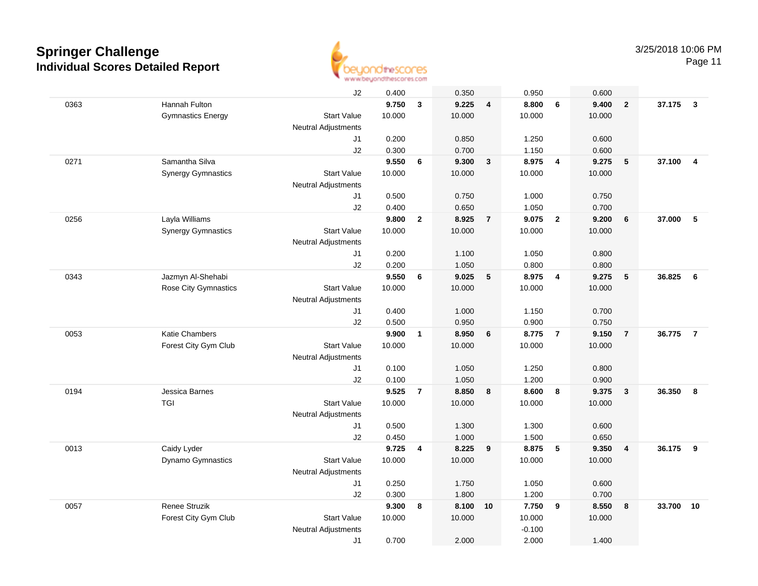

Page 11

|      |                           | J2                         | 0.400  |                | 0.350  |                | 0.950    |                          | 0.600  |                         |        |                |
|------|---------------------------|----------------------------|--------|----------------|--------|----------------|----------|--------------------------|--------|-------------------------|--------|----------------|
| 0363 | Hannah Fulton             |                            | 9.750  | $\mathbf{3}$   | 9.225  | $\overline{4}$ | 8.800    | 6                        | 9.400  | $\overline{2}$          | 37.175 | $\mathbf{3}$   |
|      | <b>Gymnastics Energy</b>  | <b>Start Value</b>         | 10.000 |                | 10.000 |                | 10.000   |                          | 10.000 |                         |        |                |
|      |                           | <b>Neutral Adjustments</b> |        |                |        |                |          |                          |        |                         |        |                |
|      |                           | J1                         | 0.200  |                | 0.850  |                | 1.250    |                          | 0.600  |                         |        |                |
|      |                           | J2                         | 0.300  |                | 0.700  |                | 1.150    |                          | 0.600  |                         |        |                |
| 0271 | Samantha Silva            |                            | 9.550  | 6              | 9.300  | $\mathbf{3}$   | 8.975    | $\overline{4}$           | 9.275  | 5                       | 37.100 | $\overline{4}$ |
|      | <b>Synergy Gymnastics</b> | <b>Start Value</b>         | 10.000 |                | 10.000 |                | 10.000   |                          | 10.000 |                         |        |                |
|      |                           | <b>Neutral Adjustments</b> |        |                |        |                |          |                          |        |                         |        |                |
|      |                           | J1                         | 0.500  |                | 0.750  |                | 1.000    |                          | 0.750  |                         |        |                |
|      |                           | J2                         | 0.400  |                | 0.650  |                | 1.050    |                          | 0.700  |                         |        |                |
| 0256 | Layla Williams            |                            | 9.800  | $\mathbf{2}$   | 8.925  | $\overline{7}$ | 9.075    | $\overline{\mathbf{2}}$  | 9.200  | 6                       | 37.000 | 5              |
|      | <b>Synergy Gymnastics</b> | <b>Start Value</b>         | 10.000 |                | 10.000 |                | 10.000   |                          | 10.000 |                         |        |                |
|      |                           | <b>Neutral Adjustments</b> |        |                |        |                |          |                          |        |                         |        |                |
|      |                           | J1                         | 0.200  |                | 1.100  |                | 1.050    |                          | 0.800  |                         |        |                |
|      |                           | J2                         | 0.200  |                | 1.050  |                | 0.800    |                          | 0.800  |                         |        |                |
| 0343 | Jazmyn Al-Shehabi         |                            | 9.550  | 6              | 9.025  | 5              | 8.975    | $\overline{4}$           | 9.275  | $5\phantom{.0}$         | 36.825 | 6              |
|      | Rose City Gymnastics      | <b>Start Value</b>         | 10.000 |                | 10.000 |                | 10.000   |                          | 10.000 |                         |        |                |
|      |                           | <b>Neutral Adjustments</b> |        |                |        |                |          |                          |        |                         |        |                |
|      |                           | J1                         | 0.400  |                | 1.000  |                | 1.150    |                          | 0.700  |                         |        |                |
|      |                           | J2                         | 0.500  |                | 0.950  |                | 0.900    |                          | 0.750  |                         |        |                |
| 0053 | Katie Chambers            |                            | 9.900  | $\mathbf{1}$   | 8.950  | 6              | 8.775    | $\overline{7}$           | 9.150  | $\overline{7}$          | 36.775 | $\overline{7}$ |
|      | Forest City Gym Club      | <b>Start Value</b>         | 10.000 |                | 10.000 |                | 10.000   |                          | 10.000 |                         |        |                |
|      |                           | <b>Neutral Adjustments</b> |        |                |        |                |          |                          |        |                         |        |                |
|      |                           | J1                         | 0.100  |                | 1.050  |                | 1.250    |                          | 0.800  |                         |        |                |
|      |                           | J2                         | 0.100  |                | 1.050  |                | 1.200    |                          | 0.900  |                         |        |                |
| 0194 | Jessica Barnes            |                            | 9.525  | $\overline{7}$ | 8.850  | 8              | 8.600    | 8                        | 9.375  | $\overline{\mathbf{3}}$ | 36.350 | 8              |
|      | <b>TGI</b>                | <b>Start Value</b>         | 10.000 |                | 10.000 |                | 10.000   |                          | 10.000 |                         |        |                |
|      |                           | <b>Neutral Adjustments</b> |        |                |        |                |          |                          |        |                         |        |                |
|      |                           | J1                         | 0.500  |                | 1.300  |                | 1.300    |                          | 0.600  |                         |        |                |
|      |                           | J2                         | 0.450  |                | 1.000  |                | 1.500    |                          | 0.650  |                         |        |                |
| 0013 | Caidy Lyder               |                            | 9.725  | 4              | 8.225  | 9              | 8.875    | $\overline{\phantom{0}}$ | 9.350  | $\overline{\mathbf{4}}$ | 36.175 | - 9            |
|      | <b>Dynamo Gymnastics</b>  | <b>Start Value</b>         | 10.000 |                | 10.000 |                | 10.000   |                          | 10.000 |                         |        |                |
|      |                           | <b>Neutral Adjustments</b> |        |                |        |                |          |                          |        |                         |        |                |
|      |                           | J1                         | 0.250  |                | 1.750  |                | 1.050    |                          | 0.600  |                         |        |                |
|      |                           | J2                         | 0.300  |                | 1.800  |                | 1.200    |                          | 0.700  |                         |        |                |
| 0057 | Renee Struzik             |                            | 9.300  | 8              | 8.100  | 10             | 7.750    | 9                        | 8.550  | 8                       | 33.700 | 10             |
|      | Forest City Gym Club      | <b>Start Value</b>         | 10.000 |                | 10.000 |                | 10.000   |                          | 10.000 |                         |        |                |
|      |                           | <b>Neutral Adjustments</b> |        |                |        |                | $-0.100$ |                          |        |                         |        |                |
|      |                           | J1                         | 0.700  |                | 2.000  |                | 2.000    |                          | 1.400  |                         |        |                |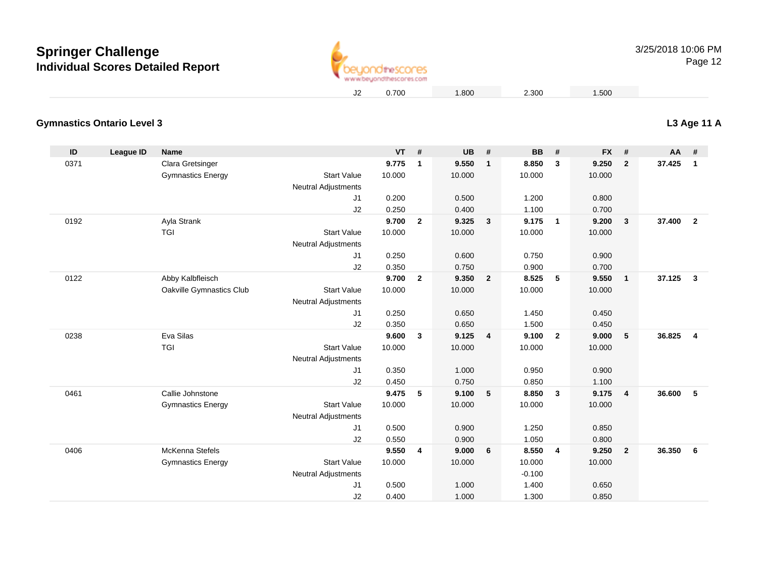

Page 12

### **Gymnastics Ontario Level 3**

| ID   | League ID | <b>Name</b>              |                            | $VT$ # |                | <b>UB</b> | #                       | <b>BB</b> | #                       | FX #   |                         | $AA$ # |                         |
|------|-----------|--------------------------|----------------------------|--------|----------------|-----------|-------------------------|-----------|-------------------------|--------|-------------------------|--------|-------------------------|
| 0371 |           | Clara Gretsinger         |                            | 9.775  | $\mathbf{1}$   | 9.550     | $\overline{1}$          | 8.850     | 3                       | 9.250  | $\overline{2}$          | 37.425 | $\overline{\mathbf{1}}$ |
|      |           | <b>Gymnastics Energy</b> | <b>Start Value</b>         | 10.000 |                | 10.000    |                         | 10.000    |                         | 10.000 |                         |        |                         |
|      |           |                          | <b>Neutral Adjustments</b> |        |                |           |                         |           |                         |        |                         |        |                         |
|      |           |                          | J <sub>1</sub>             | 0.200  |                | 0.500     |                         | 1.200     |                         | 0.800  |                         |        |                         |
|      |           |                          | J2                         | 0.250  |                | 0.400     |                         | 1.100     |                         | 0.700  |                         |        |                         |
| 0192 |           | Ayla Strank              |                            | 9.700  | $\overline{2}$ | 9.325     | $\overline{\mathbf{3}}$ | 9.175     | $\mathbf{1}$            | 9.200  | $\mathbf{3}$            | 37,400 | $\overline{2}$          |
|      |           | <b>TGI</b>               | <b>Start Value</b>         | 10.000 |                | 10.000    |                         | 10.000    |                         | 10.000 |                         |        |                         |
|      |           |                          | <b>Neutral Adjustments</b> |        |                |           |                         |           |                         |        |                         |        |                         |
|      |           |                          | J <sub>1</sub>             | 0.250  |                | 0.600     |                         | 0.750     |                         | 0.900  |                         |        |                         |
|      |           |                          | J2                         | 0.350  |                | 0.750     |                         | 0.900     |                         | 0.700  |                         |        |                         |
| 0122 |           | Abby Kalbfleisch         |                            | 9.700  | $\overline{2}$ | 9.350     | $\overline{\mathbf{2}}$ | 8.525     | 5                       | 9.550  | $\mathbf{1}$            | 37.125 | $\overline{3}$          |
|      |           | Oakville Gymnastics Club | <b>Start Value</b>         | 10.000 |                | 10.000    |                         | 10.000    |                         | 10.000 |                         |        |                         |
|      |           |                          | <b>Neutral Adjustments</b> |        |                |           |                         |           |                         |        |                         |        |                         |
|      |           |                          | J1                         | 0.250  |                | 0.650     |                         | 1.450     |                         | 0.450  |                         |        |                         |
|      |           |                          | J2                         | 0.350  |                | 0.650     |                         | 1.500     |                         | 0.450  |                         |        |                         |
| 0238 |           | Eva Silas                |                            | 9.600  | 3              | 9.125     | $\overline{4}$          | 9.100     | $\overline{\mathbf{2}}$ | 9.000  | $5\phantom{.0}$         | 36.825 | $\overline{4}$          |
|      |           | TGI                      | <b>Start Value</b>         | 10.000 |                | 10.000    |                         | 10.000    |                         | 10.000 |                         |        |                         |
|      |           |                          | <b>Neutral Adjustments</b> |        |                |           |                         |           |                         |        |                         |        |                         |
|      |           |                          | J1                         | 0.350  |                | 1.000     |                         | 0.950     |                         | 0.900  |                         |        |                         |
|      |           |                          | J2                         | 0.450  |                | 0.750     |                         | 0.850     |                         | 1.100  |                         |        |                         |
| 0461 |           | Callie Johnstone         |                            | 9.475  | 5              | 9.100     | - 5                     | 8.850     | 3                       | 9.175  | $\overline{\mathbf{4}}$ | 36.600 | 5                       |
|      |           | <b>Gymnastics Energy</b> | <b>Start Value</b>         | 10.000 |                | 10.000    |                         | 10.000    |                         | 10.000 |                         |        |                         |
|      |           |                          | <b>Neutral Adjustments</b> |        |                |           |                         |           |                         |        |                         |        |                         |
|      |           |                          | J <sub>1</sub>             | 0.500  |                | 0.900     |                         | 1.250     |                         | 0.850  |                         |        |                         |
|      |           |                          | J2                         | 0.550  |                | 0.900     |                         | 1.050     |                         | 0.800  |                         |        |                         |
| 0406 |           | <b>McKenna Stefels</b>   |                            | 9.550  | $\overline{4}$ | 9.000     | 6                       | 8.550     | $\overline{4}$          | 9.250  | $\overline{2}$          | 36.350 | 6                       |
|      |           | <b>Gymnastics Energy</b> | <b>Start Value</b>         | 10.000 |                | 10.000    |                         | 10.000    |                         | 10.000 |                         |        |                         |
|      |           |                          | <b>Neutral Adjustments</b> |        |                |           |                         | $-0.100$  |                         |        |                         |        |                         |
|      |           |                          | J1                         | 0.500  |                | 1.000     |                         | 1.400     |                         | 0.650  |                         |        |                         |
|      |           |                          | J2                         | 0.400  |                | 1.000     |                         | 1.300     |                         | 0.850  |                         |        |                         |

### **L3 Age 11 A**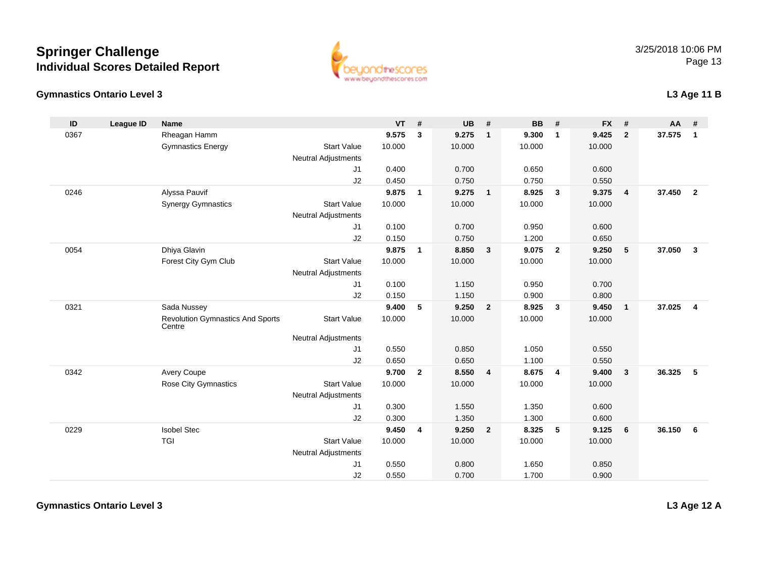#### **Gymnastics Ontario Level 3**



|  | L3 Age 11 B |
|--|-------------|
|--|-------------|

| ID   | <b>League ID</b> | <b>Name</b>                                       |                            | <b>VT</b> | #              | <b>UB</b> | #                       | BB     | #              | <b>FX</b> | #              | AA     | #                       |
|------|------------------|---------------------------------------------------|----------------------------|-----------|----------------|-----------|-------------------------|--------|----------------|-----------|----------------|--------|-------------------------|
| 0367 |                  | Rheagan Hamm                                      |                            | 9.575     | 3              | 9.275     | $\mathbf{1}$            | 9.300  | $\overline{1}$ | 9.425     | $\overline{2}$ | 37.575 | $\overline{\mathbf{1}}$ |
|      |                  | <b>Gymnastics Energy</b>                          | <b>Start Value</b>         | 10.000    |                | 10.000    |                         | 10.000 |                | 10.000    |                |        |                         |
|      |                  |                                                   | <b>Neutral Adjustments</b> |           |                |           |                         |        |                |           |                |        |                         |
|      |                  |                                                   | J1                         | 0.400     |                | 0.700     |                         | 0.650  |                | 0.600     |                |        |                         |
|      |                  |                                                   | J2                         | 0.450     |                | 0.750     |                         | 0.750  |                | 0.550     |                |        |                         |
| 0246 |                  | Alyssa Pauvif                                     |                            | 9.875     | $\mathbf{1}$   | 9.275     | $\overline{1}$          | 8.925  | $\mathbf{3}$   | 9.375     | 4              | 37.450 | $\overline{\mathbf{2}}$ |
|      |                  | <b>Synergy Gymnastics</b>                         | <b>Start Value</b>         | 10.000    |                | 10.000    |                         | 10.000 |                | 10.000    |                |        |                         |
|      |                  |                                                   | <b>Neutral Adjustments</b> |           |                |           |                         |        |                |           |                |        |                         |
|      |                  |                                                   | J1                         | 0.100     |                | 0.700     |                         | 0.950  |                | 0.600     |                |        |                         |
|      |                  |                                                   | J2                         | 0.150     |                | 0.750     |                         | 1.200  |                | 0.650     |                |        |                         |
| 0054 |                  | Dhiya Glavin                                      |                            | 9.875     | $\mathbf{1}$   | 8.850     | $\overline{\mathbf{3}}$ | 9.075  | $\overline{2}$ | 9.250     | 5              | 37.050 | $\overline{\mathbf{3}}$ |
|      |                  | Forest City Gym Club                              | <b>Start Value</b>         | 10.000    |                | 10.000    |                         | 10.000 |                | 10.000    |                |        |                         |
|      |                  |                                                   | <b>Neutral Adjustments</b> |           |                |           |                         |        |                |           |                |        |                         |
|      |                  |                                                   | J <sub>1</sub>             | 0.100     |                | 1.150     |                         | 0.950  |                | 0.700     |                |        |                         |
|      |                  |                                                   | J2                         | 0.150     |                | 1.150     |                         | 0.900  |                | 0.800     |                |        |                         |
| 0321 |                  | Sada Nussey                                       |                            | 9.400     | 5              | 9.250     | $\overline{\mathbf{2}}$ | 8.925  | $\mathbf{3}$   | 9.450     | 1              | 37.025 | $\overline{4}$          |
|      |                  | <b>Revolution Gymnastics And Sports</b><br>Centre | <b>Start Value</b>         | 10.000    |                | 10.000    |                         | 10.000 |                | 10.000    |                |        |                         |
|      |                  |                                                   | <b>Neutral Adjustments</b> |           |                |           |                         |        |                |           |                |        |                         |
|      |                  |                                                   | J1                         | 0.550     |                | 0.850     |                         | 1.050  |                | 0.550     |                |        |                         |
|      |                  |                                                   | J2                         | 0.650     |                | 0.650     |                         | 1.100  |                | 0.550     |                |        |                         |
| 0342 |                  | Avery Coupe                                       |                            | 9.700     | $\overline{2}$ | 8.550     | $\overline{4}$          | 8.675  | $\overline{4}$ | 9.400     | $\mathbf{3}$   | 36.325 | 5                       |
|      |                  | Rose City Gymnastics                              | <b>Start Value</b>         | 10.000    |                | 10.000    |                         | 10.000 |                | 10.000    |                |        |                         |
|      |                  |                                                   | <b>Neutral Adjustments</b> |           |                |           |                         |        |                |           |                |        |                         |
|      |                  |                                                   | J1                         | 0.300     |                | 1.550     |                         | 1.350  |                | 0.600     |                |        |                         |
|      |                  |                                                   | J2                         | 0.300     |                | 1.350     |                         | 1.300  |                | 0.600     |                |        |                         |
| 0229 |                  | <b>Isobel Stec</b>                                |                            | 9.450     | 4              | 9.250     | $\overline{2}$          | 8.325  | 5              | 9.125     | 6              | 36.150 | - 6                     |
|      |                  | TGI                                               | <b>Start Value</b>         | 10.000    |                | 10.000    |                         | 10.000 |                | 10.000    |                |        |                         |
|      |                  |                                                   | <b>Neutral Adjustments</b> |           |                |           |                         |        |                |           |                |        |                         |
|      |                  |                                                   | J <sub>1</sub>             | 0.550     |                | 0.800     |                         | 1.650  |                | 0.850     |                |        |                         |
|      |                  |                                                   | J2                         | 0.550     |                | 0.700     |                         | 1.700  |                | 0.900     |                |        |                         |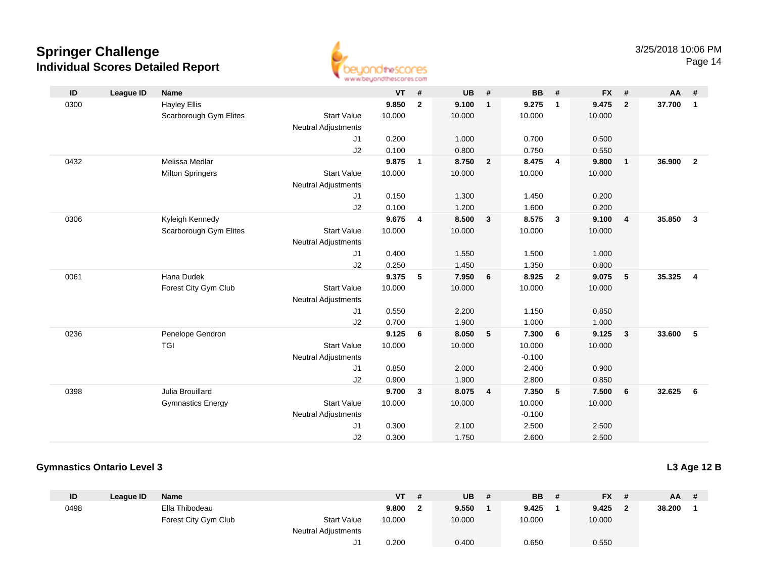

Page 14

| ID   | <b>League ID</b> | <b>Name</b>              |                            | $VT$ # |                | <b>UB</b> | #              | <b>BB</b> | #              | <b>FX</b> | #                       | AA     | #              |
|------|------------------|--------------------------|----------------------------|--------|----------------|-----------|----------------|-----------|----------------|-----------|-------------------------|--------|----------------|
| 0300 |                  | <b>Hayley Ellis</b>      |                            | 9.850  | $\overline{2}$ | 9.100     | $\mathbf{1}$   | 9.275     | $\mathbf{1}$   | 9.475     | $\overline{2}$          | 37.700 | $\overline{1}$ |
|      |                  | Scarborough Gym Elites   | <b>Start Value</b>         | 10.000 |                | 10.000    |                | 10.000    |                | 10.000    |                         |        |                |
|      |                  |                          | <b>Neutral Adjustments</b> |        |                |           |                |           |                |           |                         |        |                |
|      |                  |                          | J1                         | 0.200  |                | 1.000     |                | 0.700     |                | 0.500     |                         |        |                |
|      |                  |                          | J2                         | 0.100  |                | 0.800     |                | 0.750     |                | 0.550     |                         |        |                |
| 0432 |                  | Melissa Medlar           |                            | 9.875  | $\mathbf{1}$   | 8.750     | $\overline{2}$ | 8.475     | $\overline{4}$ | 9.800     | $\overline{1}$          | 36.900 | $\overline{2}$ |
|      |                  | <b>Milton Springers</b>  | <b>Start Value</b>         | 10.000 |                | 10.000    |                | 10.000    |                | 10.000    |                         |        |                |
|      |                  |                          | <b>Neutral Adjustments</b> |        |                |           |                |           |                |           |                         |        |                |
|      |                  |                          | J1                         | 0.150  |                | 1.300     |                | 1.450     |                | 0.200     |                         |        |                |
|      |                  |                          | J2                         | 0.100  |                | 1.200     |                | 1.600     |                | 0.200     |                         |        |                |
| 0306 |                  | Kyleigh Kennedy          |                            | 9.675  | 4              | 8.500     | 3              | 8.575     | $\mathbf{3}$   | 9.100     | $\overline{4}$          | 35.850 | $\mathbf{3}$   |
|      |                  | Scarborough Gym Elites   | <b>Start Value</b>         | 10.000 |                | 10.000    |                | 10.000    |                | 10.000    |                         |        |                |
|      |                  |                          | <b>Neutral Adjustments</b> |        |                |           |                |           |                |           |                         |        |                |
|      |                  |                          | J1                         | 0.400  |                | 1.550     |                | 1.500     |                | 1.000     |                         |        |                |
|      |                  |                          | J2                         | 0.250  |                | 1.450     |                | 1.350     |                | 0.800     |                         |        |                |
| 0061 |                  | Hana Dudek               |                            | 9.375  | 5              | 7.950     | 6              | 8.925     | $\overline{2}$ | 9.075     | 5                       | 35.325 | $\overline{4}$ |
|      |                  | Forest City Gym Club     | <b>Start Value</b>         | 10.000 |                | 10.000    |                | 10.000    |                | 10.000    |                         |        |                |
|      |                  |                          | <b>Neutral Adjustments</b> |        |                |           |                |           |                |           |                         |        |                |
|      |                  |                          | J1                         | 0.550  |                | 2.200     |                | 1.150     |                | 0.850     |                         |        |                |
|      |                  |                          | J2                         | 0.700  |                | 1.900     |                | 1.000     |                | 1.000     |                         |        |                |
| 0236 |                  | Penelope Gendron         |                            | 9.125  | 6              | 8.050     | 5              | 7.300     | 6              | 9.125     | $\overline{\mathbf{3}}$ | 33,600 | -5             |
|      |                  | <b>TGI</b>               | <b>Start Value</b>         | 10.000 |                | 10.000    |                | 10.000    |                | 10.000    |                         |        |                |
|      |                  |                          | <b>Neutral Adjustments</b> |        |                |           |                | $-0.100$  |                |           |                         |        |                |
|      |                  |                          | J1                         | 0.850  |                | 2.000     |                | 2.400     |                | 0.900     |                         |        |                |
|      |                  |                          | J2                         | 0.900  |                | 1.900     |                | 2.800     |                | 0.850     |                         |        |                |
| 0398 |                  | Julia Brouillard         |                            | 9.700  | 3              | 8.075     | 4              | 7.350     | 5              | 7.500     | 6                       | 32.625 | 6              |
|      |                  | <b>Gymnastics Energy</b> | <b>Start Value</b>         | 10.000 |                | 10.000    |                | 10.000    |                | 10.000    |                         |        |                |
|      |                  |                          | <b>Neutral Adjustments</b> |        |                |           |                | $-0.100$  |                |           |                         |        |                |
|      |                  |                          | J1                         | 0.300  |                | 2.100     |                | 2.500     |                | 2.500     |                         |        |                |
|      |                  |                          | J2                         | 0.300  |                | 1.750     |                | 2.600     |                | 2.500     |                         |        |                |

#### **Gymnastics Ontario Level 3**

**L3 Age 12 B**

| ID   | League ID | Name                 |                            | <b>VT</b> | # | UB     | <b>BB</b> | # | <b>FX</b> |                   | AA     | - # |
|------|-----------|----------------------|----------------------------|-----------|---|--------|-----------|---|-----------|-------------------|--------|-----|
| 0498 |           | Ella Thibodeau       |                            | 9.800     |   | 9.550  | 9.425     |   | 9.425     | $\mathbf{\Omega}$ | 38.200 |     |
|      |           | Forest City Gym Club | <b>Start Value</b>         | 10.000    |   | 10.000 | 10.000    |   | 10.000    |                   |        |     |
|      |           |                      | <b>Neutral Adjustments</b> |           |   |        |           |   |           |                   |        |     |
|      |           |                      | J1                         | 0.200     |   | 0.400  | 0.650     |   | 0.550     |                   |        |     |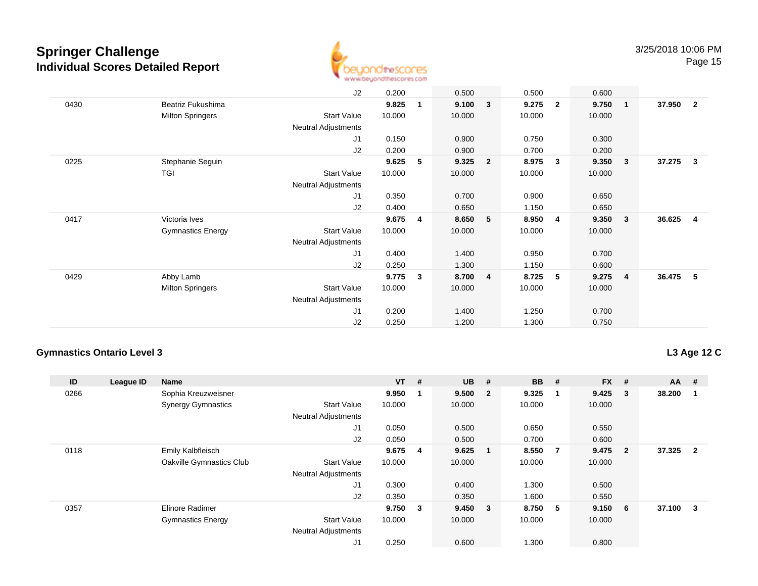

|                          | J2                         | 0.200  |              | 0.500  |                         | 0.500                   |                | 0.600  |                                                                                        |                         |
|--------------------------|----------------------------|--------|--------------|--------|-------------------------|-------------------------|----------------|--------|----------------------------------------------------------------------------------------|-------------------------|
| Beatriz Fukushima        |                            | 9.825  | $\mathbf{1}$ | 9.100  | 3                       | 9.275                   | $\overline{2}$ | 9.750  | 37.950                                                                                 | $\overline{\mathbf{2}}$ |
| <b>Milton Springers</b>  | <b>Start Value</b>         | 10.000 |              | 10.000 |                         | 10.000                  |                | 10.000 |                                                                                        |                         |
|                          | <b>Neutral Adjustments</b> |        |              |        |                         |                         |                |        |                                                                                        |                         |
|                          | J1                         | 0.150  |              | 0.900  |                         | 0.750                   |                | 0.300  |                                                                                        |                         |
|                          | J2                         | 0.200  |              | 0.900  |                         | 0.700                   |                | 0.200  |                                                                                        |                         |
| Stephanie Seguin         |                            | 9.625  | 5            | 9.325  | $\overline{\mathbf{2}}$ | 8.975                   | $\mathbf{3}$   | 9.350  | 37.275                                                                                 | $\overline{\mathbf{3}}$ |
| <b>TGI</b>               | <b>Start Value</b>         | 10.000 |              | 10.000 |                         | 10.000                  |                | 10.000 |                                                                                        |                         |
|                          | Neutral Adjustments        |        |              |        |                         |                         |                |        |                                                                                        |                         |
|                          | J1                         | 0.350  |              | 0.700  |                         | 0.900                   |                | 0.650  |                                                                                        |                         |
|                          | J2                         | 0.400  |              | 0.650  |                         | 1.150                   |                | 0.650  |                                                                                        |                         |
| Victoria Ives            |                            | 9.675  | 4            | 8.650  | 5                       | 8.950                   | 4              | 9.350  | 36.625                                                                                 | $\overline{4}$          |
| <b>Gymnastics Energy</b> | <b>Start Value</b>         | 10.000 |              | 10.000 |                         | 10.000                  |                | 10.000 |                                                                                        |                         |
|                          | Neutral Adjustments        |        |              |        |                         |                         |                |        |                                                                                        |                         |
|                          | J1                         | 0.400  |              | 1.400  |                         | 0.950                   |                | 0.700  |                                                                                        |                         |
|                          | J2                         | 0.250  |              | 1.300  |                         | 1.150                   |                | 0.600  |                                                                                        |                         |
| Abby Lamb                |                            | 9.775  | 3            | 8.700  |                         | 8.725                   | 5              | 9.275  | 36.475                                                                                 | - 5                     |
| <b>Milton Springers</b>  | <b>Start Value</b>         | 10.000 |              | 10.000 |                         | 10.000                  |                | 10.000 |                                                                                        |                         |
|                          | Neutral Adjustments        |        |              |        |                         |                         |                |        |                                                                                        |                         |
|                          | J1                         | 0.200  |              | 1.400  |                         | 1.250                   |                | 0.700  |                                                                                        |                         |
|                          | J2                         | 0.250  |              | 1.200  |                         | 1.300                   |                | 0.750  |                                                                                        |                         |
|                          |                            |        |              |        |                         | $\overline{\mathbf{4}}$ |                |        | $\overline{1}$<br>$\overline{\mathbf{3}}$<br>$\overline{\mathbf{3}}$<br>$\overline{4}$ |                         |

#### **Gymnastics Ontario Level 3**

**L3 Age 12 C**

| ID   | League ID | <b>Name</b>               |                            | $VT$ # |                | <b>UB</b> | #                       | <b>BB</b> | #              | <b>FX</b> | #              | $AA$ # |                |
|------|-----------|---------------------------|----------------------------|--------|----------------|-----------|-------------------------|-----------|----------------|-----------|----------------|--------|----------------|
| 0266 |           | Sophia Kreuzweisner       |                            | 9.950  | -1             | 9.500     | $\overline{\mathbf{2}}$ | 9.325     | -1             | 9.425     | 3              | 38.200 |                |
|      |           | <b>Synergy Gymnastics</b> | <b>Start Value</b>         | 10.000 |                | 10.000    |                         | 10.000    |                | 10.000    |                |        |                |
|      |           |                           | <b>Neutral Adjustments</b> |        |                |           |                         |           |                |           |                |        |                |
|      |           |                           | J <sub>1</sub>             | 0.050  |                | 0.500     |                         | 0.650     |                | 0.550     |                |        |                |
|      |           |                           | J2                         | 0.050  |                | 0.500     |                         | 0.700     |                | 0.600     |                |        |                |
| 0118 |           | Emily Kalbfleisch         |                            | 9.675  | $\overline{4}$ | 9.625     | $\blacksquare$          | 8.550     | $\overline{7}$ | 9.475     | $\overline{2}$ | 37.325 | $\overline{2}$ |
|      |           | Oakville Gymnastics Club  | <b>Start Value</b>         | 10.000 |                | 10.000    |                         | 10.000    |                | 10.000    |                |        |                |
|      |           |                           | <b>Neutral Adjustments</b> |        |                |           |                         |           |                |           |                |        |                |
|      |           |                           | J <sub>1</sub>             | 0.300  |                | 0.400     |                         | 1.300     |                | 0.500     |                |        |                |
|      |           |                           | J2                         | 0.350  |                | 0.350     |                         | 1.600     |                | 0.550     |                |        |                |
| 0357 |           | Elinore Radimer           |                            | 9.750  | 3              | 9.450 3   |                         | 8.750     | $-5$           | 9.150     | 6              | 37.100 | 3              |
|      |           | <b>Gymnastics Energy</b>  | <b>Start Value</b>         | 10.000 |                | 10.000    |                         | 10.000    |                | 10.000    |                |        |                |
|      |           |                           | <b>Neutral Adjustments</b> |        |                |           |                         |           |                |           |                |        |                |
|      |           |                           | J1                         | 0.250  |                | 0.600     |                         | 1.300     |                | 0.800     |                |        |                |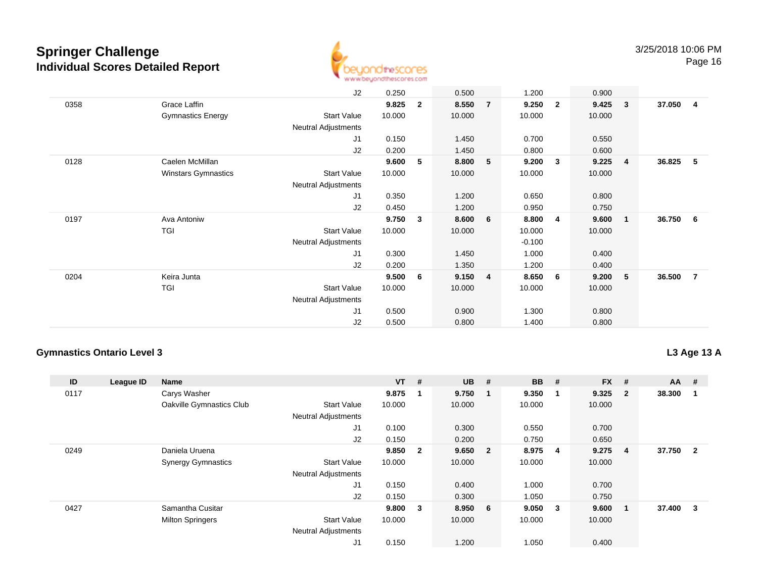

Page 16

|      |                            | J2                         | 0.250  |                | 0.500  |                         | 1.200    |              | 0.900  |                |          |                |
|------|----------------------------|----------------------------|--------|----------------|--------|-------------------------|----------|--------------|--------|----------------|----------|----------------|
| 0358 | Grace Laffin               |                            | 9.825  | $\overline{2}$ | 8.550  | $\overline{7}$          | 9.250    | $\mathbf{2}$ | 9.425  | 3              | 37.050   | $\overline{4}$ |
|      | <b>Gymnastics Energy</b>   | <b>Start Value</b>         | 10.000 |                | 10.000 |                         | 10.000   |              | 10.000 |                |          |                |
|      |                            | Neutral Adjustments        |        |                |        |                         |          |              |        |                |          |                |
|      |                            | J1                         | 0.150  |                | 1.450  |                         | 0.700    |              | 0.550  |                |          |                |
|      |                            | J2                         | 0.200  |                | 1.450  |                         | 0.800    |              | 0.600  |                |          |                |
| 0128 | Caelen McMillan            |                            | 9.600  | 5              | 8.800  | 5                       | 9.200    | 3            | 9.225  | $\overline{4}$ | 36.825   | 5              |
|      | <b>Winstars Gymnastics</b> | <b>Start Value</b>         | 10.000 |                | 10.000 |                         | 10.000   |              | 10.000 |                |          |                |
|      |                            | <b>Neutral Adjustments</b> |        |                |        |                         |          |              |        |                |          |                |
|      |                            | J1                         | 0.350  |                | 1.200  |                         | 0.650    |              | 0.800  |                |          |                |
|      |                            | J2                         | 0.450  |                | 1.200  |                         | 0.950    |              | 0.750  |                |          |                |
| 0197 | Ava Antoniw                |                            | 9.750  | $\mathbf{3}$   | 8.600  | 6                       | 8.800    | 4            | 9.600  | $\blacksquare$ | 36.750 6 |                |
|      | TGI                        | <b>Start Value</b>         | 10.000 |                | 10.000 |                         | 10.000   |              | 10.000 |                |          |                |
|      |                            | Neutral Adjustments        |        |                |        |                         | $-0.100$ |              |        |                |          |                |
|      |                            | J1                         | 0.300  |                | 1.450  |                         | 1.000    |              | 0.400  |                |          |                |
|      |                            | J2                         | 0.200  |                | 1.350  |                         | 1.200    |              | 0.400  |                |          |                |
| 0204 | Keira Junta                |                            | 9.500  | 6              | 9.150  | $\overline{\mathbf{4}}$ | 8.650    | 6            | 9.200  | $-5$           | 36.500   | $\overline{7}$ |
|      | TGI                        | <b>Start Value</b>         | 10.000 |                | 10.000 |                         | 10.000   |              | 10.000 |                |          |                |
|      |                            | Neutral Adjustments        |        |                |        |                         |          |              |        |                |          |                |
|      |                            | J1                         | 0.500  |                | 0.900  |                         | 1.300    |              | 0.800  |                |          |                |
|      |                            | J2                         | 0.500  |                | 0.800  |                         | 1.400    |              | 0.800  |                |          |                |

#### **Gymnastics Ontario Level 3**

**L3 Age 13 A**

| ID   | League ID | <b>Name</b>               |                            | $VT$ # |                | <b>UB</b> | #                       | <b>BB</b> | #                       | <b>FX</b> | #              | $AA$ # |                |
|------|-----------|---------------------------|----------------------------|--------|----------------|-----------|-------------------------|-----------|-------------------------|-----------|----------------|--------|----------------|
| 0117 |           | Carys Washer              |                            | 9.875  |                | 9.750     | $\overline{\mathbf{1}}$ | 9.350     |                         | 9.325     | $\overline{2}$ | 38.300 |                |
|      |           | Oakville Gymnastics Club  | <b>Start Value</b>         | 10.000 |                | 10.000    |                         | 10.000    |                         | 10.000    |                |        |                |
|      |           |                           | <b>Neutral Adjustments</b> |        |                |           |                         |           |                         |           |                |        |                |
|      |           |                           | J <sub>1</sub>             | 0.100  |                | 0.300     |                         | 0.550     |                         | 0.700     |                |        |                |
|      |           |                           | J2                         | 0.150  |                | 0.200     |                         | 0.750     |                         | 0.650     |                |        |                |
| 0249 |           | Daniela Uruena            |                            | 9.850  | $\overline{2}$ | 9.650 2   |                         | 8.975     | $\overline{\mathbf{4}}$ | 9.275     | 4              | 37.750 | $\overline{2}$ |
|      |           | <b>Synergy Gymnastics</b> | <b>Start Value</b>         | 10.000 |                | 10.000    |                         | 10.000    |                         | 10.000    |                |        |                |
|      |           |                           | <b>Neutral Adjustments</b> |        |                |           |                         |           |                         |           |                |        |                |
|      |           |                           | J <sub>1</sub>             | 0.150  |                | 0.400     |                         | 1.000     |                         | 0.700     |                |        |                |
|      |           |                           | J2                         | 0.150  |                | 0.300     |                         | 1.050     |                         | 0.750     |                |        |                |
| 0427 |           | Samantha Cusitar          |                            | 9.800  | 3              | 8.950 6   |                         | 9.050     | $\overline{\mathbf{3}}$ | 9.600     |                | 37.400 | 3              |
|      |           | <b>Milton Springers</b>   | <b>Start Value</b>         | 10.000 |                | 10.000    |                         | 10.000    |                         | 10.000    |                |        |                |
|      |           |                           | <b>Neutral Adjustments</b> |        |                |           |                         |           |                         |           |                |        |                |
|      |           |                           | J <sub>1</sub>             | 0.150  |                | 1.200     |                         | 1.050     |                         | 0.400     |                |        |                |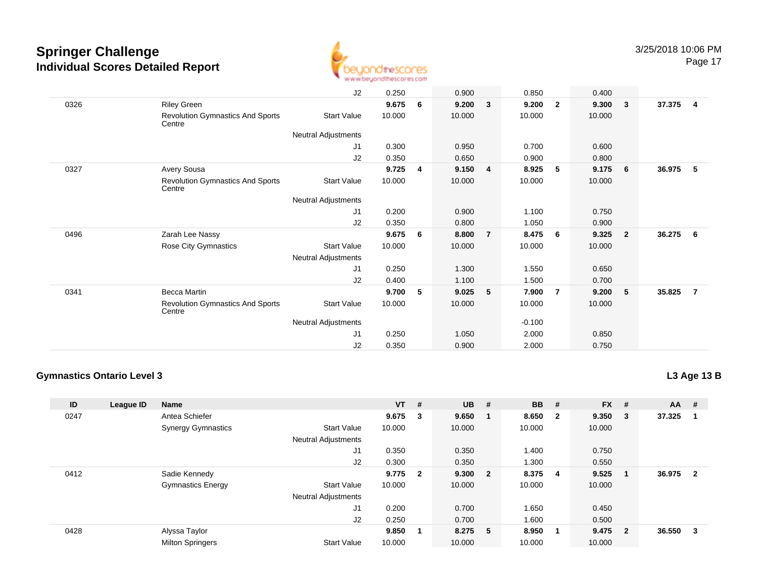

Page 17

|      |                                                   | J2                         | 0.250  |   | 0.900  |                | 0.850    |                | 0.400  |                         |        |                |
|------|---------------------------------------------------|----------------------------|--------|---|--------|----------------|----------|----------------|--------|-------------------------|--------|----------------|
| 0326 | <b>Riley Green</b>                                |                            | 9.675  | 6 | 9.200  | $\mathbf{3}$   | 9.200    | $\overline{2}$ | 9.300  | $\overline{\mathbf{3}}$ | 37.375 | $\overline{4}$ |
|      | <b>Revolution Gymnastics And Sports</b><br>Centre | <b>Start Value</b>         | 10.000 |   | 10.000 |                | 10.000   |                | 10.000 |                         |        |                |
|      |                                                   | Neutral Adjustments        |        |   |        |                |          |                |        |                         |        |                |
|      |                                                   | J1                         | 0.300  |   | 0.950  |                | 0.700    |                | 0.600  |                         |        |                |
|      |                                                   | J2                         | 0.350  |   | 0.650  |                | 0.900    |                | 0.800  |                         |        |                |
| 0327 | Avery Sousa                                       |                            | 9.725  | 4 | 9.150  | 4              | 8.925    | 5              | 9.175  | - 6                     | 36.975 | - 5            |
|      | <b>Revolution Gymnastics And Sports</b><br>Centre | <b>Start Value</b>         | 10.000 |   | 10.000 |                | 10.000   |                | 10.000 |                         |        |                |
|      |                                                   | Neutral Adjustments        |        |   |        |                |          |                |        |                         |        |                |
|      |                                                   | J1                         | 0.200  |   | 0.900  |                | 1.100    |                | 0.750  |                         |        |                |
|      |                                                   | J2                         | 0.350  |   | 0.800  |                | 1.050    |                | 0.900  |                         |        |                |
| 0496 | Zarah Lee Nassy                                   |                            | 9.675  | 6 | 8.800  | $\overline{7}$ | 8.475    | 6              | 9.325  | $\overline{\mathbf{2}}$ | 36.275 | 6              |
|      | <b>Rose City Gymnastics</b>                       | <b>Start Value</b>         | 10.000 |   | 10.000 |                | 10.000   |                | 10.000 |                         |        |                |
|      |                                                   | <b>Neutral Adjustments</b> |        |   |        |                |          |                |        |                         |        |                |
|      |                                                   | J1                         | 0.250  |   | 1.300  |                | 1.550    |                | 0.650  |                         |        |                |
|      |                                                   | J2                         | 0.400  |   | 1.100  |                | 1.500    |                | 0.700  |                         |        |                |
| 0341 | Becca Martin                                      |                            | 9.700  | 5 | 9.025  | -5             | 7.900    | $\overline{7}$ | 9.200  | $-5$                    | 35.825 | $\overline{7}$ |
|      | <b>Revolution Gymnastics And Sports</b><br>Centre | <b>Start Value</b>         | 10.000 |   | 10.000 |                | 10.000   |                | 10.000 |                         |        |                |
|      |                                                   | Neutral Adjustments        |        |   |        |                | $-0.100$ |                |        |                         |        |                |
|      |                                                   | J1                         | 0.250  |   | 1.050  |                | 2.000    |                | 0.850  |                         |        |                |
|      |                                                   | J2                         | 0.350  |   | 0.900  |                | 2.000    |                | 0.750  |                         |        |                |

#### **Gymnastics Ontario Level 3**

**L3 Age 13 B**

| ID   | League ID | <b>Name</b>               |                            | $VT$ #    |   | $UB$ #  |              | <b>BB</b> | #                       | $FX$ # |                         | $AA$ # |     |
|------|-----------|---------------------------|----------------------------|-----------|---|---------|--------------|-----------|-------------------------|--------|-------------------------|--------|-----|
| 0247 |           | Antea Schiefer            |                            | 9.675     | 3 | 9.650   | $\mathbf{1}$ | 8.650     | $\overline{\mathbf{2}}$ | 9.350  | $_{3}$                  | 37.325 | -1  |
|      |           | <b>Synergy Gymnastics</b> | <b>Start Value</b>         | 10.000    |   | 10.000  |              | 10.000    |                         | 10.000 |                         |        |     |
|      |           |                           | <b>Neutral Adjustments</b> |           |   |         |              |           |                         |        |                         |        |     |
|      |           |                           | J1                         | 0.350     |   | 0.350   |              | 1.400     |                         | 0.750  |                         |        |     |
|      |           |                           | J2                         | 0.300     |   | 0.350   |              | 1.300     |                         | 0.550  |                         |        |     |
| 0412 |           | Sadie Kennedy             |                            | $9.775$ 2 |   | 9.300 2 |              | 8.375     | $\overline{4}$          | 9.525  | - 1                     | 36.975 | - 2 |
|      |           | <b>Gymnastics Energy</b>  | <b>Start Value</b>         | 10.000    |   | 10.000  |              | 10.000    |                         | 10.000 |                         |        |     |
|      |           |                           | <b>Neutral Adjustments</b> |           |   |         |              |           |                         |        |                         |        |     |
|      |           |                           | J <sub>1</sub>             | 0.200     |   | 0.700   |              | 1.650     |                         | 0.450  |                         |        |     |
|      |           |                           | J2                         | 0.250     |   | 0.700   |              | 1.600     |                         | 0.500  |                         |        |     |
| 0428 |           | Alyssa Taylor             |                            | 9.850     |   | 8.275   | -5           | 8.950     | 1                       | 9.475  | $\overline{\mathbf{2}}$ | 36.550 | - 3 |
|      |           | <b>Milton Springers</b>   | <b>Start Value</b>         | 10.000    |   | 10.000  |              | 10.000    |                         | 10.000 |                         |        |     |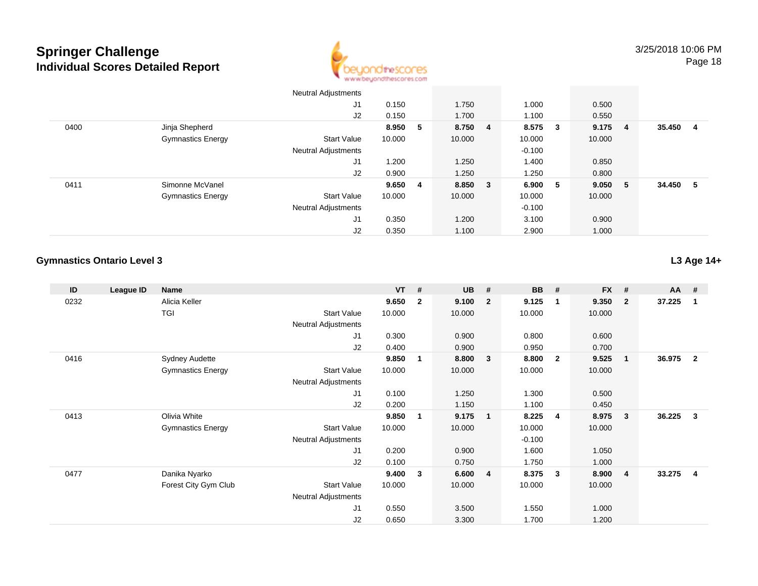

|      |                          | <b>Neutral Adjustments</b> |        |    |         |          |     |        |   |        |    |
|------|--------------------------|----------------------------|--------|----|---------|----------|-----|--------|---|--------|----|
|      |                          | J <sub>1</sub>             | 0.150  |    | 1.750   | 1.000    |     | 0.500  |   |        |    |
|      |                          | J2                         | 0.150  |    | 1.700   | 1.100    |     | 0.550  |   |        |    |
| 0400 | Jinja Shepherd           |                            | 8.950  | -5 | 8.750 4 | 8.575    | - 3 | 9.175  | 4 | 35.450 | 4  |
|      | <b>Gymnastics Energy</b> | <b>Start Value</b>         | 10.000 |    | 10.000  | 10.000   |     | 10.000 |   |        |    |
|      |                          | <b>Neutral Adjustments</b> |        |    |         | $-0.100$ |     |        |   |        |    |
|      |                          | J1                         | 1.200  |    | 1.250   | 1.400    |     | 0.850  |   |        |    |
|      |                          | J2                         | 0.900  |    | 1.250   | 1.250    |     | 0.800  |   |        |    |
| 0411 | Simonne McVanel          |                            | 9.6504 |    | 8.850 3 | 6.900    | - 5 | 9.050  | 5 | 34.450 | -5 |
|      | <b>Gymnastics Energy</b> | <b>Start Value</b>         | 10.000 |    | 10.000  | 10.000   |     | 10.000 |   |        |    |
|      |                          | <b>Neutral Adjustments</b> |        |    |         | $-0.100$ |     |        |   |        |    |
|      |                          | J <sub>1</sub>             | 0.350  |    | 1.200   | 3.100    |     | 0.900  |   |        |    |
|      |                          | J2                         | 0.350  |    | 1.100   | 2.900    |     | 1.000  |   |        |    |

#### **Gymnastics Ontario Level 3**

**L3 Age 14+**

| ID   | League ID | Name                     |                            | $VT$ # |                | <b>UB</b> | #              | <b>BB</b> | #                       | <b>FX</b> | #              | AA #   |                |
|------|-----------|--------------------------|----------------------------|--------|----------------|-----------|----------------|-----------|-------------------------|-----------|----------------|--------|----------------|
| 0232 |           | Alicia Keller            |                            | 9.650  | $\overline{2}$ | 9.100     | $\overline{2}$ | 9.125     | $\overline{1}$          | 9.350     | $\mathbf{2}$   | 37.225 |                |
|      |           | TGI                      | <b>Start Value</b>         | 10.000 |                | 10.000    |                | 10.000    |                         | 10.000    |                |        |                |
|      |           |                          | <b>Neutral Adjustments</b> |        |                |           |                |           |                         |           |                |        |                |
|      |           |                          | J1                         | 0.300  |                | 0.900     |                | 0.800     |                         | 0.600     |                |        |                |
|      |           |                          | J2                         | 0.400  |                | 0.900     |                | 0.950     |                         | 0.700     |                |        |                |
| 0416 |           | <b>Sydney Audette</b>    |                            | 9.850  | 1              | 8.800     | 3              | 8.800     | $\overline{\mathbf{2}}$ | 9.525     | $\overline{1}$ | 36.975 | $\mathbf{2}$   |
|      |           | <b>Gymnastics Energy</b> | <b>Start Value</b>         | 10.000 |                | 10.000    |                | 10.000    |                         | 10.000    |                |        |                |
|      |           |                          | <b>Neutral Adjustments</b> |        |                |           |                |           |                         |           |                |        |                |
|      |           |                          | J1                         | 0.100  |                | 1.250     |                | 1.300     |                         | 0.500     |                |        |                |
|      |           |                          | J2                         | 0.200  |                | 1.150     |                | 1.100     |                         | 0.450     |                |        |                |
| 0413 |           | Olivia White             |                            | 9.850  | 1              | 9.175     | $\blacksquare$ | 8.225     | 4                       | 8.975     | $\mathbf{3}$   | 36.225 | 3              |
|      |           | <b>Gymnastics Energy</b> | <b>Start Value</b>         | 10.000 |                | 10.000    |                | 10.000    |                         | 10.000    |                |        |                |
|      |           |                          | <b>Neutral Adjustments</b> |        |                |           |                | $-0.100$  |                         |           |                |        |                |
|      |           |                          | J1                         | 0.200  |                | 0.900     |                | 1.600     |                         | 1.050     |                |        |                |
|      |           |                          | J2                         | 0.100  |                | 0.750     |                | 1.750     |                         | 1.000     |                |        |                |
| 0477 |           | Danika Nyarko            |                            | 9.400  | 3              | 6.600     | $\overline{4}$ | 8.375     | $\overline{\mathbf{3}}$ | 8.900     | -4             | 33.275 | $\overline{4}$ |
|      |           | Forest City Gym Club     | <b>Start Value</b>         | 10.000 |                | 10.000    |                | 10.000    |                         | 10.000    |                |        |                |
|      |           |                          | <b>Neutral Adjustments</b> |        |                |           |                |           |                         |           |                |        |                |
|      |           |                          | J1                         | 0.550  |                | 3.500     |                | 1.550     |                         | 1.000     |                |        |                |
|      |           |                          | J2                         | 0.650  |                | 3.300     |                | 1.700     |                         | 1.200     |                |        |                |